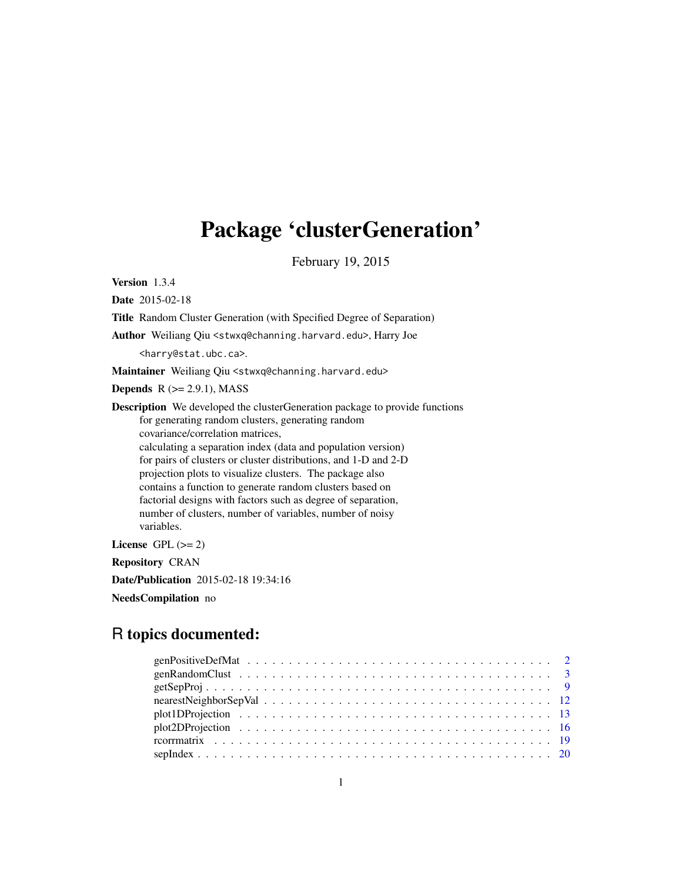# Package 'clusterGeneration'

February 19, 2015

Version 1.3.4

Date 2015-02-18

Title Random Cluster Generation (with Specified Degree of Separation)

Author Weiliang Qiu <stwxq@channing.harvard.edu>, Harry Joe

<harry@stat.ubc.ca>.

Maintainer Weiliang Qiu <stwxq@channing.harvard.edu>

Depends  $R$  ( $>= 2.9.1$ ), MASS

Description We developed the clusterGeneration package to provide functions for generating random clusters, generating random covariance/correlation matrices, calculating a separation index (data and population version) for pairs of clusters or cluster distributions, and 1-D and 2-D projection plots to visualize clusters. The package also contains a function to generate random clusters based on factorial designs with factors such as degree of separation, number of clusters, number of variables, number of noisy variables.

License GPL  $(>= 2)$ 

Repository CRAN

Date/Publication 2015-02-18 19:34:16

NeedsCompilation no

# R topics documented: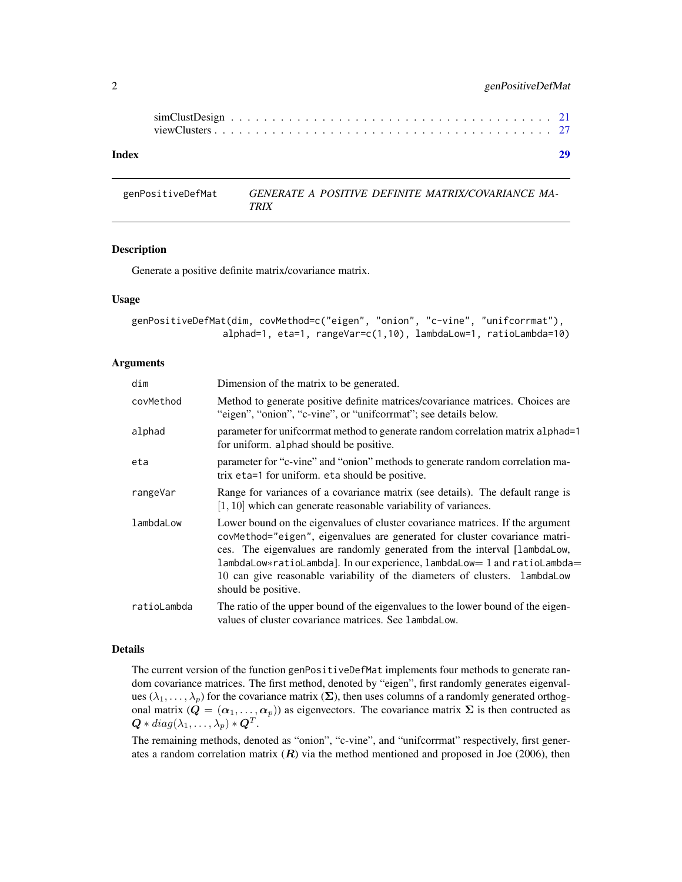<span id="page-1-0"></span>

| Index |  |  |  |  |  |  |  |  |  |  |  |  |  |  |  |
|-------|--|--|--|--|--|--|--|--|--|--|--|--|--|--|--|
|       |  |  |  |  |  |  |  |  |  |  |  |  |  |  |  |
|       |  |  |  |  |  |  |  |  |  |  |  |  |  |  |  |

genPositiveDefMat *GENERATE A POSITIVE DEFINITE MATRIX/COVARIANCE MA-TRIX*

#### Description

Generate a positive definite matrix/covariance matrix.

# Usage

```
genPositiveDefMat(dim, covMethod=c("eigen", "onion", "c-vine", "unifcorrmat"),
                alphad=1, eta=1, rangeVar=c(1,10), lambdaLow=1, ratioLambda=10)
```
#### Arguments

| dim         | Dimension of the matrix to be generated.                                                                                                                                                                                                                                                                                                                                                                                   |
|-------------|----------------------------------------------------------------------------------------------------------------------------------------------------------------------------------------------------------------------------------------------------------------------------------------------------------------------------------------------------------------------------------------------------------------------------|
| covMethod   | Method to generate positive definite matrices/covariance matrices. Choices are<br>"eigen", "onion", "c-vine", or "unifcorrmat"; see details below.                                                                                                                                                                                                                                                                         |
| alphad      | parameter for uniformat method to generate random correlation matrix alphad=1<br>for uniform. alphad should be positive.                                                                                                                                                                                                                                                                                                   |
| eta         | parameter for "c-vine" and "onion" methods to generate random correlation ma-<br>trix eta=1 for uniform, eta should be positive.                                                                                                                                                                                                                                                                                           |
| rangeVar    | Range for variances of a covariance matrix (see details). The default range is<br>$[1, 10]$ which can generate reasonable variability of variances.                                                                                                                                                                                                                                                                        |
| lambdaLow   | Lower bound on the eigenvalues of cluster covariance matrices. If the argument<br>covMethod="eigen", eigenvalues are generated for cluster covariance matri-<br>ces. The eigenvalues are randomly generated from the interval [lambdaLow,<br>lambdaLow*ratioLambda]. In our experience, lambdaLow= 1 and ratioLambda=<br>10 can give reasonable variability of the diameters of clusters. lambdaLow<br>should be positive. |
| ratioLambda | The ratio of the upper bound of the eigenvalues to the lower bound of the eigen-<br>values of cluster covariance matrices. See lambdaLow.                                                                                                                                                                                                                                                                                  |

#### Details

The current version of the function genPositiveDefMat implements four methods to generate random covariance matrices. The first method, denoted by "eigen", first randomly generates eigenvalues ( $\lambda_1, \ldots, \lambda_p$ ) for the covariance matrix ( $\Sigma$ ), then uses columns of a randomly generated orthogonal matrix  $(Q = (\alpha_1, \ldots, \alpha_p))$  as eigenvectors. The covariance matrix  $\Sigma$  is then contructed as  $\bm{Q}*diag(\lambda_1,\ldots,\lambda_p)*\bm{Q}^T.$ 

The remaining methods, denoted as "onion", "c-vine", and "unifcorrmat" respectively, first generates a random correlation matrix  $(R)$  via the method mentioned and proposed in Joe (2006), then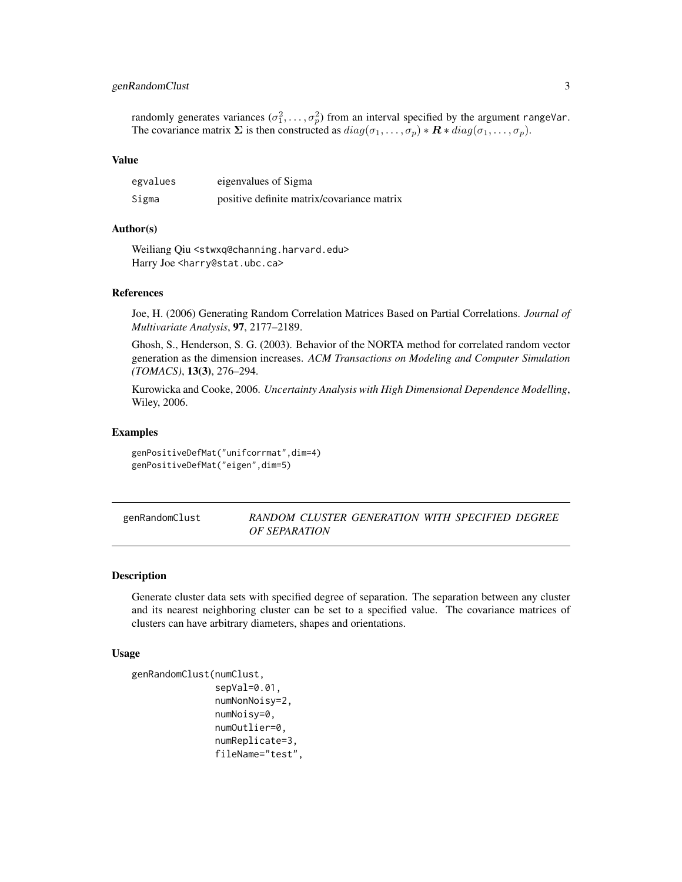# <span id="page-2-0"></span>genRandomClust 3

randomly generates variances  $(\sigma_1^2, \ldots, \sigma_p^2)$  from an interval specified by the argument rangeVar. The covariance matrix  $\Sigma$  is then constructed as  $diag(\sigma_1, \ldots, \sigma_p) * \mathbf{R} * diag(\sigma_1, \ldots, \sigma_p)$ .

# Value

| egvalues | eigenvalues of Sigma                       |
|----------|--------------------------------------------|
| Sigma    | positive definite matrix/covariance matrix |

#### Author(s)

Weiliang Qiu <stwxq@channing.harvard.edu> Harry Joe <harry@stat.ubc.ca>

# References

Joe, H. (2006) Generating Random Correlation Matrices Based on Partial Correlations. *Journal of Multivariate Analysis*, 97, 2177–2189.

Ghosh, S., Henderson, S. G. (2003). Behavior of the NORTA method for correlated random vector generation as the dimension increases. *ACM Transactions on Modeling and Computer Simulation (TOMACS)*, 13(3), 276–294.

Kurowicka and Cooke, 2006. *Uncertainty Analysis with High Dimensional Dependence Modelling*, Wiley, 2006.

# Examples

genPositiveDefMat("unifcorrmat",dim=4) genPositiveDefMat("eigen",dim=5)

# genRandomClust *RANDOM CLUSTER GENERATION WITH SPECIFIED DEGREE OF SEPARATION*

#### Description

Generate cluster data sets with specified degree of separation. The separation between any cluster and its nearest neighboring cluster can be set to a specified value. The covariance matrices of clusters can have arbitrary diameters, shapes and orientations.

#### Usage

```
genRandomClust(numClust,
                sepVal=0.01,
               numNonNoisy=2,
               numNoisy=0,
               numOutlier=0,
               numReplicate=3,
```
fileName="test",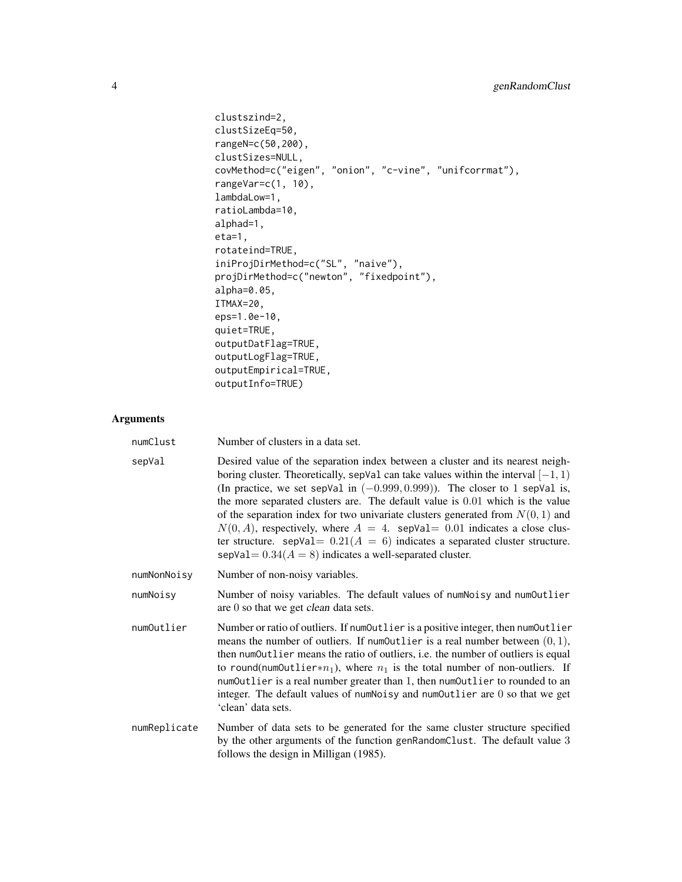```
clustszind=2,
clustSizeEq=50,
rangeN=c(50,200),
clustSizes=NULL,
covMethod=c("eigen", "onion", "c-vine", "unifcorrmat"),
rangeVar=c(1, 10),
lambdaLow=1,
ratioLambda=10,
alphad=1,
eta=1,
rotateind=TRUE,
iniProjDirMethod=c("SL", "naive"),
projDirMethod=c("newton", "fixedpoint"),
alpha=0.05,
ITMAX=20,
eps=1.0e-10,
quiet=TRUE,
outputDatFlag=TRUE,
outputLogFlag=TRUE,
outputEmpirical=TRUE,
outputInfo=TRUE)
```

| numClust     | Number of clusters in a data set.                                                                                                                                                                                                                                                                                                                                                                                                                                                                                                                                                                                                                                |
|--------------|------------------------------------------------------------------------------------------------------------------------------------------------------------------------------------------------------------------------------------------------------------------------------------------------------------------------------------------------------------------------------------------------------------------------------------------------------------------------------------------------------------------------------------------------------------------------------------------------------------------------------------------------------------------|
| sepVal       | Desired value of the separation index between a cluster and its nearest neigh-<br>boring cluster. Theoretically, sepVal can take values within the interval $[-1, 1)$<br>(In practice, we set sepVal in $(-0.999, 0.999)$ ). The closer to 1 sepVal is,<br>the more separated clusters are. The default value is $0.01$ which is the value<br>of the separation index for two univariate clusters generated from $N(0, 1)$ and<br>$N(0, A)$ , respectively, where $A = 4$ . sepVal = 0.01 indicates a close clus-<br>ter structure. sepVal= $0.21(A = 6)$ indicates a separated cluster structure.<br>sepVal = $0.34(A = 8)$ indicates a well-separated cluster. |
| numNonNoisy  | Number of non-noisy variables.                                                                                                                                                                                                                                                                                                                                                                                                                                                                                                                                                                                                                                   |
| numNoisy     | Number of noisy variables. The default values of numNoisy and numOutlier<br>are 0 so that we get <i>clean</i> data sets.                                                                                                                                                                                                                                                                                                                                                                                                                                                                                                                                         |
| numOutlier   | Number or ratio of outliers. If numOutlier is a positive integer, then numOutlier<br>means the number of outliers. If numOutlier is a real number between $(0, 1)$ ,<br>then numOutlier means the ratio of outliers, i.e. the number of outliers is equal<br>to round(num0utlier* $n_1$ ), where $n_1$ is the total number of non-outliers. If<br>numOutlier is a real number greater than 1, then numOutlier to rounded to an<br>integer. The default values of numNoisy and numOutlier are 0 so that we get<br>'clean' data sets.                                                                                                                              |
| numReplicate | Number of data sets to be generated for the same cluster structure specified<br>by the other arguments of the function genRandomClust. The default value 3<br>follows the design in Milligan (1985).                                                                                                                                                                                                                                                                                                                                                                                                                                                             |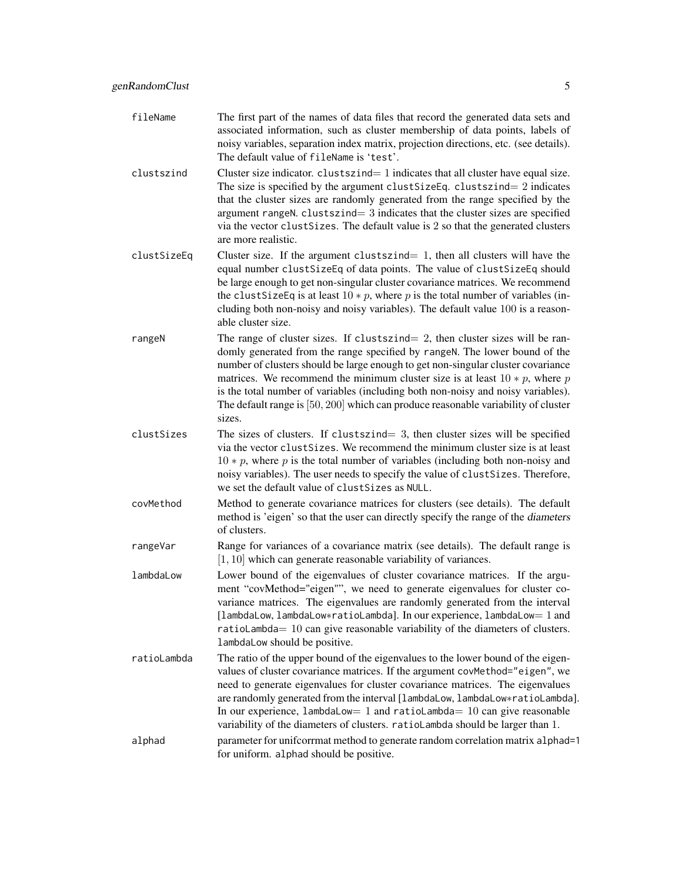- fileName The first part of the names of data files that record the generated data sets and associated information, such as cluster membership of data points, labels of noisy variables, separation index matrix, projection directions, etc. (see details). The default value of fileName is 'test'.
- clustszind Cluster size indicator. clustszind  $= 1$  indicates that all cluster have equal size. The size is specified by the argument clustSizeEq. clustszind=  $2$  indicates that the cluster sizes are randomly generated from the range specified by the argument rangeN.  $cluster = 3$  indicates that the cluster sizes are specified via the vector clustSizes. The default value is 2 so that the generated clusters are more realistic.
- clustSizeEq Cluster size. If the argument clustszind= 1, then all clusters will have the equal number clustSizeEq of data points. The value of clustSizeEq should be large enough to get non-singular cluster covariance matrices. We recommend the clustSizeEq is at least  $10 * p$ , where p is the total number of variables (including both non-noisy and noisy variables). The default value 100 is a reasonable cluster size.
- rangeN The range of cluster sizes. If clustszind= 2, then cluster sizes will be randomly generated from the range specified by rangeN. The lower bound of the number of clusters should be large enough to get non-singular cluster covariance matrices. We recommend the minimum cluster size is at least  $10 * p$ , where p is the total number of variables (including both non-noisy and noisy variables). The default range is [50, 200] which can produce reasonable variability of cluster sizes.
- clustSizes The sizes of clusters. If clustszind= 3, then cluster sizes will be specified via the vector clustSizes. We recommend the minimum cluster size is at least  $10 * p$ , where p is the total number of variables (including both non-noisy and noisy variables). The user needs to specify the value of clustSizes. Therefore, we set the default value of clustSizes as NULL.
- covMethod Method to generate covariance matrices for clusters (see details). The default method is 'eigen' so that the user can directly specify the range of the diameters of clusters.
- rangeVar Range for variances of a covariance matrix (see details). The default range is [1, 10] which can generate reasonable variability of variances.
- lambdaLow Lower bound of the eigenvalues of cluster covariance matrices. If the argument "covMethod="eigen"", we need to generate eigenvalues for cluster covariance matrices. The eigenvalues are randomly generated from the interval [lambdaLow, lambdaLow∗ratioLambda]. In our experience, lambdaLow= 1 and ratioLambda= 10 can give reasonable variability of the diameters of clusters. lambdaLow should be positive.
- ratioLambda The ratio of the upper bound of the eigenvalues to the lower bound of the eigenvalues of cluster covariance matrices. If the argument covMethod="eigen", we need to generate eigenvalues for cluster covariance matrices. The eigenvalues are randomly generated from the interval [lambdaLow, lambdaLow∗ratioLambda]. In our experience, lambdaLow=  $1$  and ratioLambda=  $10$  can give reasonable variability of the diameters of clusters. ratioLambda should be larger than 1. alphad parameter for unificorrmat method to generate random correlation matrix alphad=1 for uniform. alphad should be positive.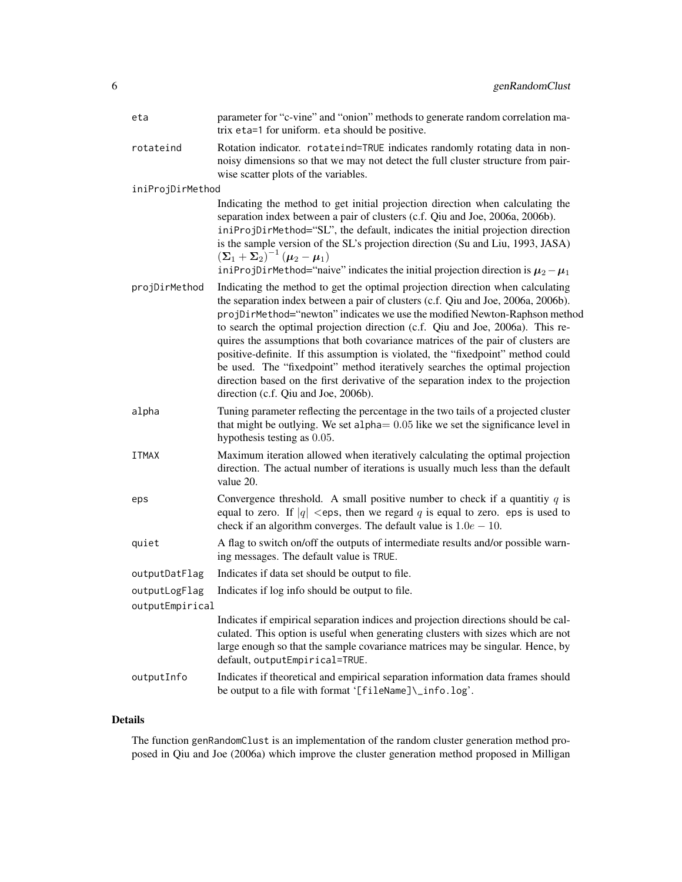| eta              | parameter for "c-vine" and "onion" methods to generate random correlation ma-<br>trix eta=1 for uniform. eta should be positive.                                                                                                                                                                                                                                                                                                                                                                                                                                                                                                                                                                                         |
|------------------|--------------------------------------------------------------------------------------------------------------------------------------------------------------------------------------------------------------------------------------------------------------------------------------------------------------------------------------------------------------------------------------------------------------------------------------------------------------------------------------------------------------------------------------------------------------------------------------------------------------------------------------------------------------------------------------------------------------------------|
| rotateind        | Rotation indicator. rotateind=TRUE indicates randomly rotating data in non-<br>noisy dimensions so that we may not detect the full cluster structure from pair-<br>wise scatter plots of the variables.                                                                                                                                                                                                                                                                                                                                                                                                                                                                                                                  |
| iniProjDirMethod |                                                                                                                                                                                                                                                                                                                                                                                                                                                                                                                                                                                                                                                                                                                          |
|                  | Indicating the method to get initial projection direction when calculating the<br>separation index between a pair of clusters (c.f. Qiu and Joe, 2006a, 2006b).<br>iniProjDirMethod="SL", the default, indicates the initial projection direction<br>is the sample version of the SL's projection direction (Su and Liu, 1993, JASA)<br>$(\mathbf{\Sigma}_1 + \mathbf{\Sigma}_2)^{-1} (\mathbf{\mu}_2 - \mathbf{\mu}_1)$<br>iniProjDirMethod="naive" indicates the initial projection direction is $\mu_2 - \mu_1$                                                                                                                                                                                                       |
| projDirMethod    | Indicating the method to get the optimal projection direction when calculating<br>the separation index between a pair of clusters (c.f. Qiu and Joe, 2006a, 2006b).<br>projDirMethod="newton" indicates we use the modified Newton-Raphson method<br>to search the optimal projection direction (c.f. Qiu and Joe, 2006a). This re-<br>quires the assumptions that both covariance matrices of the pair of clusters are<br>positive-definite. If this assumption is violated, the "fixedpoint" method could<br>be used. The "fixedpoint" method iteratively searches the optimal projection<br>direction based on the first derivative of the separation index to the projection<br>direction (c.f. Qiu and Joe, 2006b). |
| alpha            | Tuning parameter reflecting the percentage in the two tails of a projected cluster<br>that might be outlying. We set alpha $= 0.05$ like we set the significance level in<br>hypothesis testing as 0.05.                                                                                                                                                                                                                                                                                                                                                                                                                                                                                                                 |
| <b>ITMAX</b>     | Maximum iteration allowed when iteratively calculating the optimal projection<br>direction. The actual number of iterations is usually much less than the default<br>value 20.                                                                                                                                                                                                                                                                                                                                                                                                                                                                                                                                           |
| eps              | Convergence threshold. A small positive number to check if a quantitiy $q$ is<br>equal to zero. If $ q  <$ eps, then we regard q is equal to zero. eps is used to<br>check if an algorithm converges. The default value is $1.0e - 10$ .                                                                                                                                                                                                                                                                                                                                                                                                                                                                                 |
| quiet            | A flag to switch on/off the outputs of intermediate results and/or possible warn-<br>ing messages. The default value is TRUE.                                                                                                                                                                                                                                                                                                                                                                                                                                                                                                                                                                                            |
| outputDatFlag    | Indicates if data set should be output to file.                                                                                                                                                                                                                                                                                                                                                                                                                                                                                                                                                                                                                                                                          |
| outputLogFlag    | Indicates if log info should be output to file.                                                                                                                                                                                                                                                                                                                                                                                                                                                                                                                                                                                                                                                                          |
| outputEmpirical  |                                                                                                                                                                                                                                                                                                                                                                                                                                                                                                                                                                                                                                                                                                                          |
|                  | Indicates if empirical separation indices and projection directions should be cal-<br>culated. This option is useful when generating clusters with sizes which are not<br>large enough so that the sample covariance matrices may be singular. Hence, by<br>default, outputEmpirical=TRUE.                                                                                                                                                                                                                                                                                                                                                                                                                               |
| outputInfo       | Indicates if theoretical and empirical separation information data frames should<br>be output to a file with format '[fileName]\_info.log'.                                                                                                                                                                                                                                                                                                                                                                                                                                                                                                                                                                              |

# Details

The function genRandomClust is an implementation of the random cluster generation method proposed in Qiu and Joe (2006a) which improve the cluster generation method proposed in Milligan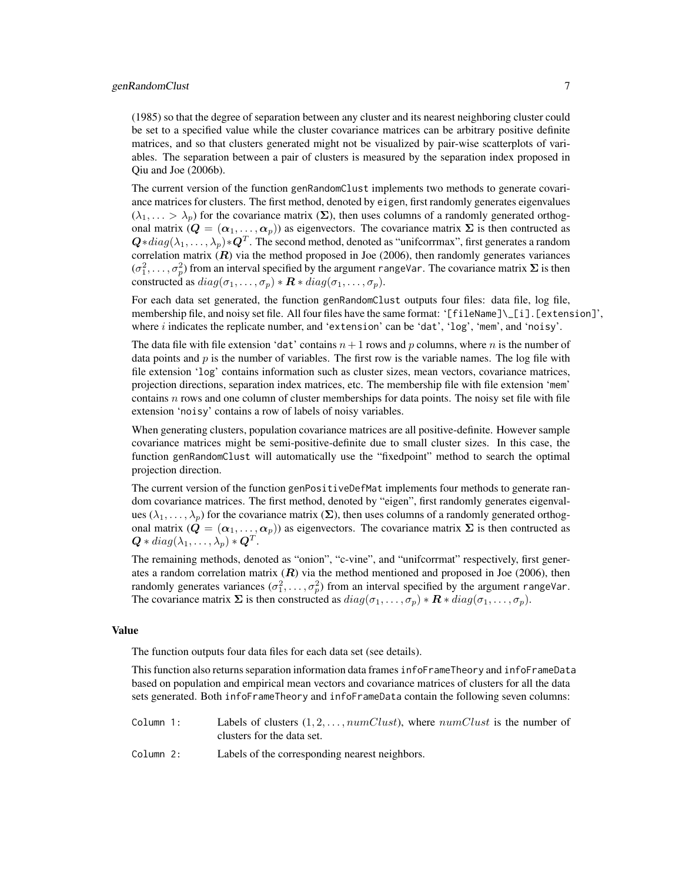# genRandomClust 7

(1985) so that the degree of separation between any cluster and its nearest neighboring cluster could be set to a specified value while the cluster covariance matrices can be arbitrary positive definite matrices, and so that clusters generated might not be visualized by pair-wise scatterplots of variables. The separation between a pair of clusters is measured by the separation index proposed in Qiu and Joe (2006b).

The current version of the function genRandomClust implements two methods to generate covariance matrices for clusters. The first method, denoted by eigen, first randomly generates eigenvalues  $(\lambda_1, \ldots > \lambda_p)$  for the covariance matrix  $(\Sigma)$ , then uses columns of a randomly generated orthogonal matrix  $(Q = (\alpha_1, \ldots, \alpha_p))$  as eigenvectors. The covariance matrix  $\Sigma$  is then contructed as  $\bm{Q}*diag(\lambda_1,\dots,\lambda_p)*\bm{Q}^T.$  The second method, denoted as "unifcorrmax", first generates a random correlation matrix  $(R)$  via the method proposed in Joe (2006), then randomly generates variances  $(\sigma_1^2, \ldots, \sigma_p^2)$  from an interval specified by the argument rangeVar. The covariance matrix  $\Sigma$  is then constructed as  $diag(\sigma_1, \ldots, \sigma_p) * \mathbf{R} * diag(\sigma_1, \ldots, \sigma_p)$ .

For each data set generated, the function genRandomClust outputs four files: data file, log file, membership file, and noisy set file. All four files have the same format: '[fileName]\\_[i].[extension]', where i indicates the replicate number, and 'extension' can be 'dat', 'log', 'mem', and 'noisy'.

The data file with file extension 'dat' contains  $n+1$  rows and p columns, where n is the number of data points and p is the number of variables. The first row is the variable names. The log file with file extension 'log' contains information such as cluster sizes, mean vectors, covariance matrices, projection directions, separation index matrices, etc. The membership file with file extension 'mem' contains  $n$  rows and one column of cluster memberships for data points. The noisy set file with file extension 'noisy' contains a row of labels of noisy variables.

When generating clusters, population covariance matrices are all positive-definite. However sample covariance matrices might be semi-positive-definite due to small cluster sizes. In this case, the function genRandomClust will automatically use the "fixedpoint" method to search the optimal projection direction.

The current version of the function genPositiveDefMat implements four methods to generate random covariance matrices. The first method, denoted by "eigen", first randomly generates eigenvalues ( $\lambda_1, \ldots, \lambda_p$ ) for the covariance matrix ( $\Sigma$ ), then uses columns of a randomly generated orthogonal matrix  $(Q = (\alpha_1, \ldots, \alpha_p))$  as eigenvectors. The covariance matrix  $\Sigma$  is then contructed as  $\bm{Q}*diag(\lambda_1,\ldots,\lambda_p)*\bm{Q}^T.$ 

The remaining methods, denoted as "onion", "c-vine", and "unifcorrmat" respectively, first generates a random correlation matrix  $(R)$  via the method mentioned and proposed in Joe (2006), then randomly generates variances  $(\sigma_1^2, \ldots, \sigma_p^2)$  from an interval specified by the argument rangeVar. The covariance matrix  $\Sigma$  is then constructed as  $diag(\sigma_1, \ldots, \sigma_p) * \mathbf{R} * diag(\sigma_1, \ldots, \sigma_p)$ .

# Value

The function outputs four data files for each data set (see details).

This function also returns separation information data frames infoFrameTheory and infoFrameData based on population and empirical mean vectors and covariance matrices of clusters for all the data sets generated. Both infoFrameTheory and infoFrameData contain the following seven columns:

| Column 1:     | Labels of clusters $(1, 2, \ldots, numClust)$ , where $numClust$ is the number of                                                                                                                                             |
|---------------|-------------------------------------------------------------------------------------------------------------------------------------------------------------------------------------------------------------------------------|
|               | clusters for the data set.                                                                                                                                                                                                    |
| $0.1 \dots 0$ | The field of a field of the companion of the companion of a field of the companion of the field of the companion of the companion of the companion of the companion of the companion of the companion of the companion of the |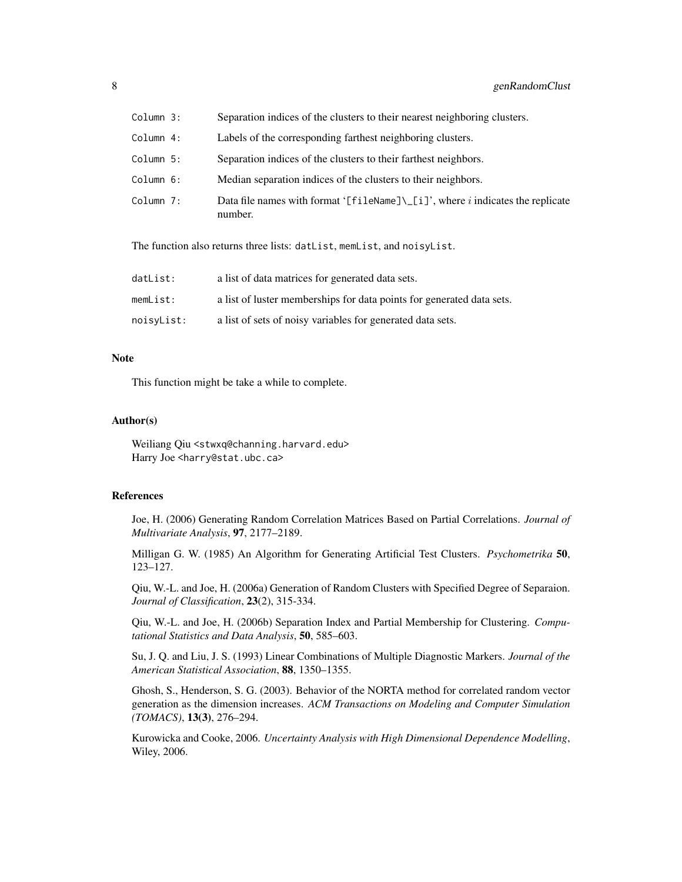| Column 3: | Separation indices of the clusters to their nearest neighboring clusters.                                        |
|-----------|------------------------------------------------------------------------------------------------------------------|
| Column 4: | Labels of the corresponding farthest neighboring clusters.                                                       |
| Column 5: | Separation indices of the clusters to their farthest neighbors.                                                  |
| Column 6: | Median separation indices of the clusters to their neighbors.                                                    |
| Column 7: | Data file names with format '[fileName] $\lfloor i \rfloor$ ', where <i>i</i> indicates the replicate<br>number. |

The function also returns three lists: datList, memList, and noisyList.

| datList:   | a list of data matrices for generated data sets.                      |
|------------|-----------------------------------------------------------------------|
| memList:   | a list of luster memberships for data points for generated data sets. |
| noisyList: | a list of sets of noisy variables for generated data sets.            |

# Note

This function might be take a while to complete.

#### Author(s)

Weiliang Qiu <stwxq@channing.harvard.edu> Harry Joe <harry@stat.ubc.ca>

#### References

Joe, H. (2006) Generating Random Correlation Matrices Based on Partial Correlations. *Journal of Multivariate Analysis*, 97, 2177–2189.

Milligan G. W. (1985) An Algorithm for Generating Artificial Test Clusters. *Psychometrika* 50, 123–127.

Qiu, W.-L. and Joe, H. (2006a) Generation of Random Clusters with Specified Degree of Separaion. *Journal of Classification*, 23(2), 315-334.

Qiu, W.-L. and Joe, H. (2006b) Separation Index and Partial Membership for Clustering. *Computational Statistics and Data Analysis*, 50, 585–603.

Su, J. Q. and Liu, J. S. (1993) Linear Combinations of Multiple Diagnostic Markers. *Journal of the American Statistical Association*, 88, 1350–1355.

Ghosh, S., Henderson, S. G. (2003). Behavior of the NORTA method for correlated random vector generation as the dimension increases. *ACM Transactions on Modeling and Computer Simulation (TOMACS)*, 13(3), 276–294.

Kurowicka and Cooke, 2006. *Uncertainty Analysis with High Dimensional Dependence Modelling*, Wiley, 2006.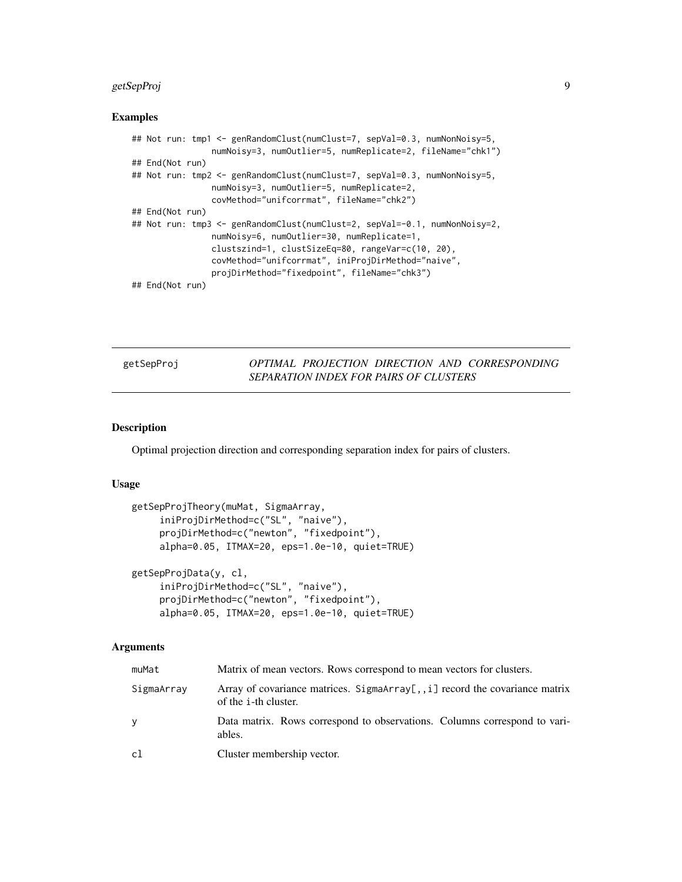# <span id="page-8-0"></span>getSepProj 9

#### Examples

```
## Not run: tmp1 <- genRandomClust(numClust=7, sepVal=0.3, numNonNoisy=5,
                numNoisy=3, numOutlier=5, numReplicate=2, fileName="chk1")
## End(Not run)
## Not run: tmp2 <- genRandomClust(numClust=7, sepVal=0.3, numNonNoisy=5,
                numNoisy=3, numOutlier=5, numReplicate=2,
                covMethod="unifcorrmat", fileName="chk2")
## End(Not run)
## Not run: tmp3 <- genRandomClust(numClust=2, sepVal=-0.1, numNonNoisy=2,
                numNoisy=6, numOutlier=30, numReplicate=1,
                clustszind=1, clustSizeEq=80, rangeVar=c(10, 20),
                covMethod="unifcorrmat", iniProjDirMethod="naive",
                projDirMethod="fixedpoint", fileName="chk3")
## End(Not run)
```
# getSepProj *OPTIMAL PROJECTION DIRECTION AND CORRESPONDING SEPARATION INDEX FOR PAIRS OF CLUSTERS*

#### Description

Optimal projection direction and corresponding separation index for pairs of clusters.

#### Usage

```
getSepProjTheory(muMat, SigmaArray,
     iniProjDirMethod=c("SL", "naive"),
     projDirMethod=c("newton", "fixedpoint"),
     alpha=0.05, ITMAX=20, eps=1.0e-10, quiet=TRUE)
getSepProjData(y, cl,
```

```
iniProjDirMethod=c("SL", "naive"),
projDirMethod=c("newton", "fixedpoint"),
alpha=0.05, ITMAX=20, eps=1.0e-10, quiet=TRUE)
```

| muMat      | Matrix of mean vectors. Rows correspond to mean vectors for clusters.                                       |
|------------|-------------------------------------------------------------------------------------------------------------|
| SigmaArray | Array of covariance matrices. SigmaArray[,, i] record the covariance matrix<br>of the <i>i</i> -th cluster. |
| ۷          | Data matrix. Rows correspond to observations. Columns correspond to vari-<br>ables.                         |
| cl         | Cluster membership vector.                                                                                  |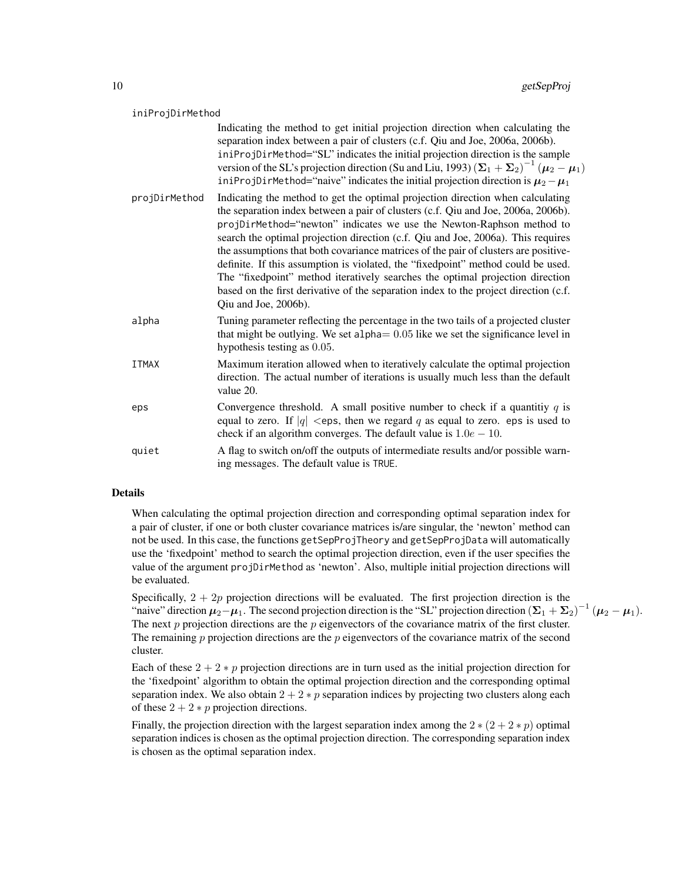#### iniProjDirMethod

|               | Indicating the method to get initial projection direction when calculating the<br>separation index between a pair of clusters (c.f. Qiu and Joe, 2006a, 2006b).<br>iniProjDirMethod="SL" indicates the initial projection direction is the sample<br>version of the SL's projection direction (Su and Liu, 1993) $(\Sigma_1 + \Sigma_2)^{-1} (\mu_2 - \mu_1)$<br>iniProjDirMethod="naive" indicates the initial projection direction is $\mu_2 - \mu_1$                                                                                                                                                                                                                                                     |
|---------------|-------------------------------------------------------------------------------------------------------------------------------------------------------------------------------------------------------------------------------------------------------------------------------------------------------------------------------------------------------------------------------------------------------------------------------------------------------------------------------------------------------------------------------------------------------------------------------------------------------------------------------------------------------------------------------------------------------------|
| projDirMethod | Indicating the method to get the optimal projection direction when calculating<br>the separation index between a pair of clusters (c.f. Qiu and Joe, 2006a, 2006b).<br>projDirMethod="newton" indicates we use the Newton-Raphson method to<br>search the optimal projection direction (c.f. Qiu and Joe, 2006a). This requires<br>the assumptions that both covariance matrices of the pair of clusters are positive-<br>definite. If this assumption is violated, the "fixedpoint" method could be used.<br>The "fixedpoint" method iteratively searches the optimal projection direction<br>based on the first derivative of the separation index to the project direction (c.f.<br>Qiu and Joe, 2006b). |
| alpha         | Tuning parameter reflecting the percentage in the two tails of a projected cluster<br>that might be outlying. We set alpha $= 0.05$ like we set the significance level in<br>hypothesis testing as 0.05.                                                                                                                                                                                                                                                                                                                                                                                                                                                                                                    |
| <b>ITMAX</b>  | Maximum iteration allowed when to iteratively calculate the optimal projection<br>direction. The actual number of iterations is usually much less than the default<br>value 20.                                                                                                                                                                                                                                                                                                                                                                                                                                                                                                                             |
| eps           | Convergence threshold. A small positive number to check if a quantitiy $q$ is<br>equal to zero. If $ q  <$ eps, then we regard q as equal to zero. eps is used to<br>check if an algorithm converges. The default value is $1.0e - 10$ .                                                                                                                                                                                                                                                                                                                                                                                                                                                                    |
| quiet         | A flag to switch on/off the outputs of intermediate results and/or possible warn-<br>ing messages. The default value is TRUE.                                                                                                                                                                                                                                                                                                                                                                                                                                                                                                                                                                               |

# Details

When calculating the optimal projection direction and corresponding optimal separation index for a pair of cluster, if one or both cluster covariance matrices is/are singular, the 'newton' method can not be used. In this case, the functions getSepProjTheory and getSepProjData will automatically use the 'fixedpoint' method to search the optimal projection direction, even if the user specifies the value of the argument projDirMethod as 'newton'. Also, multiple initial projection directions will be evaluated.

Specifically,  $2 + 2p$  projection directions will be evaluated. The first projection direction is the "naive" direction  $\mu_2 - \mu_1$ . The second projection direction is the "SL" projection direction  $(\Sigma_1 + \Sigma_2)^{-1} (\mu_2 - \mu_1)$ . The next  $p$  projection directions are the  $p$  eigenvectors of the covariance matrix of the first cluster. The remaining  $p$  projection directions are the  $p$  eigenvectors of the covariance matrix of the second cluster.

Each of these  $2 + 2 * p$  projection directions are in turn used as the initial projection direction for the 'fixedpoint' algorithm to obtain the optimal projection direction and the corresponding optimal separation index. We also obtain  $2 + 2 * p$  separation indices by projecting two clusters along each of these  $2 + 2 * p$  projection directions.

Finally, the projection direction with the largest separation index among the  $2 * (2 + 2 * p)$  optimal separation indices is chosen as the optimal projection direction. The corresponding separation index is chosen as the optimal separation index.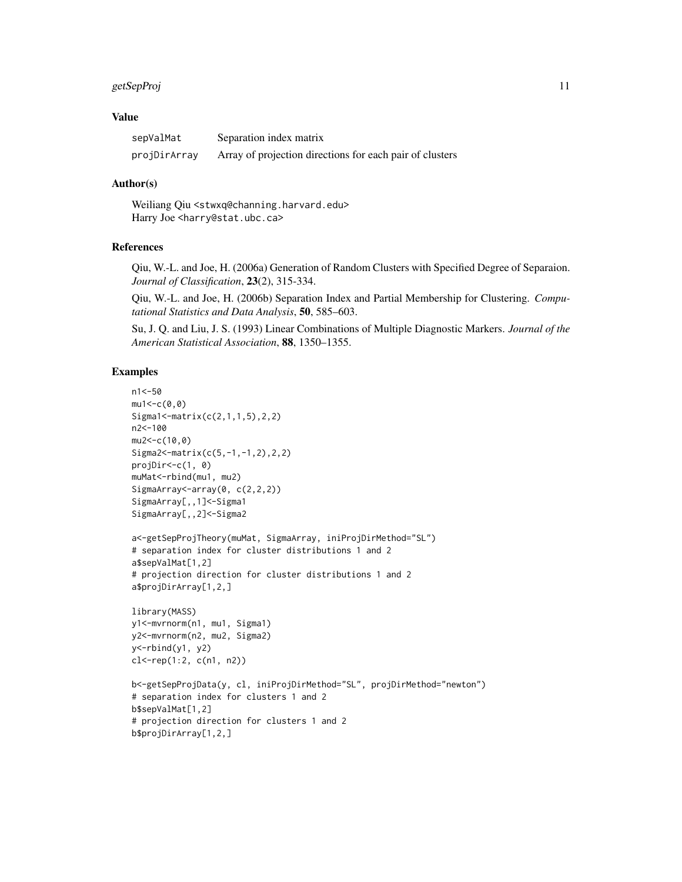#### getSepProj de la constantino de la constantino de la constantino de la constantino de la constantino de la con

# Value

| sepValMat    | Separation index matrix                                  |
|--------------|----------------------------------------------------------|
| projDirArray | Array of projection directions for each pair of clusters |

# Author(s)

Weiliang Qiu <stwxq@channing.harvard.edu> Harry Joe <harry@stat.ubc.ca>

# References

Qiu, W.-L. and Joe, H. (2006a) Generation of Random Clusters with Specified Degree of Separaion. *Journal of Classification*, 23(2), 315-334.

Qiu, W.-L. and Joe, H. (2006b) Separation Index and Partial Membership for Clustering. *Computational Statistics and Data Analysis*, 50, 585–603.

Su, J. Q. and Liu, J. S. (1993) Linear Combinations of Multiple Diagnostic Markers. *Journal of the American Statistical Association*, 88, 1350–1355.

# Examples

```
n1<-50
mu1 < -c(0, 0)Sigma1<-matrix(c(2,1,1,5),2,2)
n2<-100
mu2<-c(10,0)
Sigma2<-matrix(c(5,-1,-1,2),2,2)
projDir<-c(1, 0)
muMat<-rbind(mu1, mu2)
SigmaArray<-array(0, c(2,2,2))
SigmaArray[,,1]<-Sigma1
SigmaArray[,,2]<-Sigma2
a<-getSepProjTheory(muMat, SigmaArray, iniProjDirMethod="SL")
# separation index for cluster distributions 1 and 2
a$sepValMat[1,2]
# projection direction for cluster distributions 1 and 2
a$projDirArray[1,2,]
library(MASS)
y1<-mvrnorm(n1, mu1, Sigma1)
y2<-mvrnorm(n2, mu2, Sigma2)
y<-rbind(y1, y2)
cl<-rep(1:2, c(n1, n2))
b<-getSepProjData(y, cl, iniProjDirMethod="SL", projDirMethod="newton")
# separation index for clusters 1 and 2
b$sepValMat[1,2]
# projection direction for clusters 1 and 2
b$projDirArray[1,2,]
```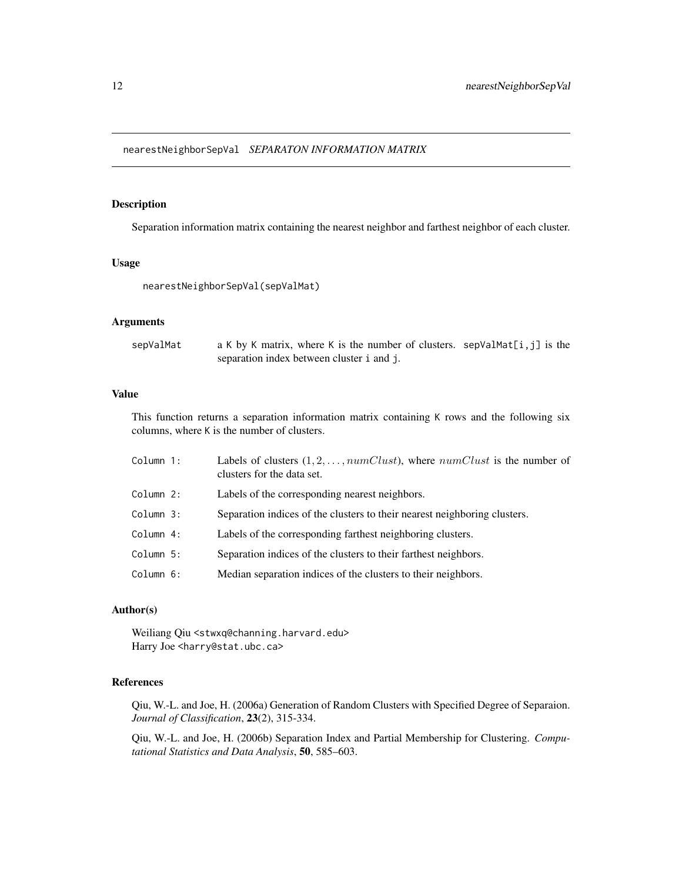<span id="page-11-0"></span>nearestNeighborSepVal *SEPARATON INFORMATION MATRIX*

# Description

Separation information matrix containing the nearest neighbor and farthest neighbor of each cluster.

# Usage

```
nearestNeighborSepVal(sepValMat)
```
# Arguments

| sepValMat | a K by K matrix, where K is the number of clusters. sepValMat $[i, j]$ is the |  |
|-----------|-------------------------------------------------------------------------------|--|
|           | separation index between cluster i and j.                                     |  |

#### Value

This function returns a separation information matrix containing K rows and the following six columns, where K is the number of clusters.

| Column 1: | Labels of clusters $(1, 2, \ldots, numClust)$ , where $numClust$ is the number of<br>clusters for the data set. |
|-----------|-----------------------------------------------------------------------------------------------------------------|
| Column 2: | Labels of the corresponding nearest neighbors.                                                                  |
| Column 3: | Separation indices of the clusters to their nearest neighboring clusters.                                       |
| Column 4: | Labels of the corresponding farthest neighboring clusters.                                                      |
| Column 5: | Separation indices of the clusters to their farthest neighbors.                                                 |
| Column 6: | Median separation indices of the clusters to their neighbors.                                                   |
|           |                                                                                                                 |

# Author(s)

Weiliang Qiu <stwxq@channing.harvard.edu> Harry Joe <harry@stat.ubc.ca>

# References

Qiu, W.-L. and Joe, H. (2006a) Generation of Random Clusters with Specified Degree of Separaion. *Journal of Classification*, 23(2), 315-334.

Qiu, W.-L. and Joe, H. (2006b) Separation Index and Partial Membership for Clustering. *Computational Statistics and Data Analysis*, 50, 585–603.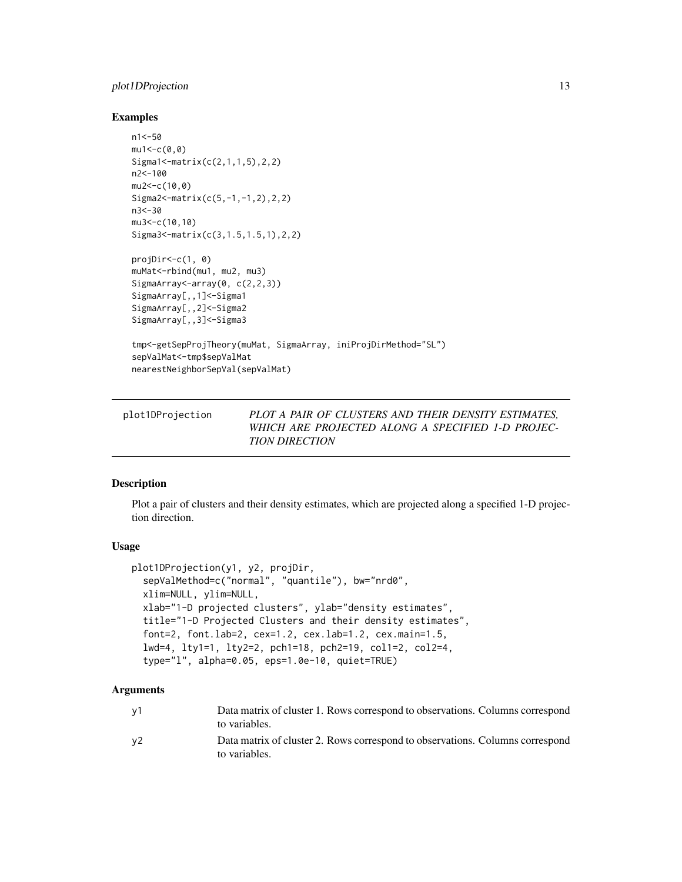# <span id="page-12-0"></span>plot1DProjection 13

# Examples

```
n1<-50
mu1 < -c(0, 0)Sigma1<-matrix(c(2,1,1,5),2,2)
n2<-100
mu2 < -c(10, 0)Sigma2<-matrix(c(5,-1,-1,2),2,2)
n3<-30
mu3 < -c(10,10)Sigma3<-matrix(c(3,1.5,1.5,1),2,2)
projDir<-c(1, 0)
muMat<-rbind(mu1, mu2, mu3)
SigmaArray<sup><-</sup>array(0, c(2,2,3))
SigmaArray[,,1]<-Sigma1
SigmaArray[,,2]<-Sigma2
SigmaArray[,,3]<-Sigma3
tmp<-getSepProjTheory(muMat, SigmaArray, iniProjDirMethod="SL")
sepValMat<-tmp$sepValMat
nearestNeighborSepVal(sepValMat)
```
<span id="page-12-1"></span>

| plot1DProjection | PLOT A PAIR OF CLUSTERS AND THEIR DENSITY ESTIMATES. |
|------------------|------------------------------------------------------|
|                  | WHICH ARE PROJECTED ALONG A SPECIFIED 1-D PROJEC-    |
|                  | <b>TION DIRECTION</b>                                |

# Description

Plot a pair of clusters and their density estimates, which are projected along a specified 1-D projection direction.

# Usage

```
plot1DProjection(y1, y2, projDir,
  sepValMethod=c("normal", "quantile"), bw="nrd0",
 xlim=NULL, ylim=NULL,
  xlab="1-D projected clusters", ylab="density estimates",
  title="1-D Projected Clusters and their density estimates",
  font=2, font.lab=2, cex=1.2, cex.lab=1.2, cex.main=1.5,
  lwd=4, lty1=1, lty2=2, pch1=18, pch2=19, col1=2, col2=4,
  type="l", alpha=0.05, eps=1.0e-10, quiet=TRUE)
```

| v1             | Data matrix of cluster 1. Rows correspond to observations. Columns correspond<br>to variables. |
|----------------|------------------------------------------------------------------------------------------------|
| v <sub>2</sub> | Data matrix of cluster 2. Rows correspond to observations. Columns correspond<br>to variables. |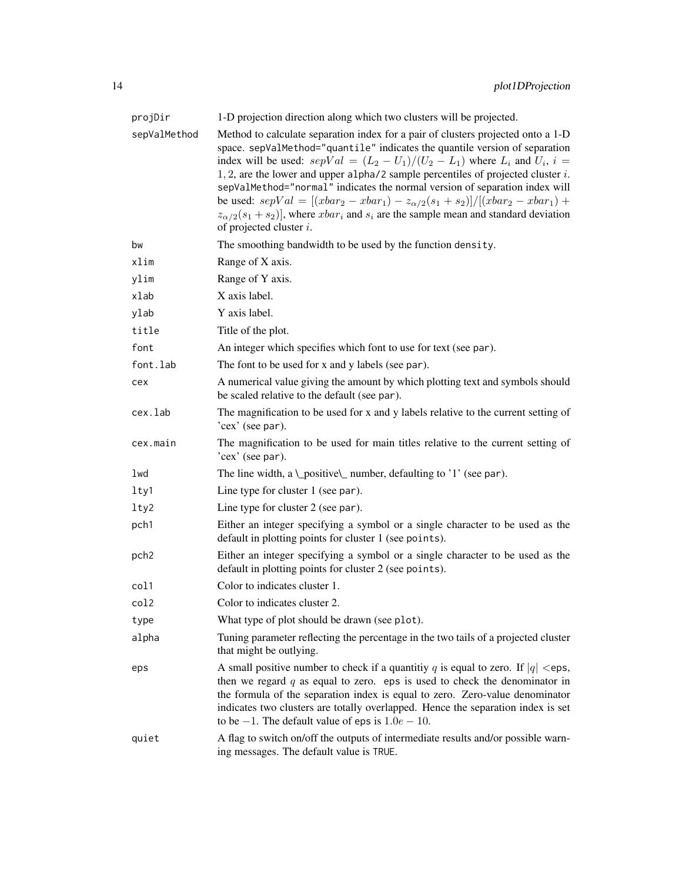| projDir          | 1-D projection direction along which two clusters will be projected.                                                                                                                                                                                                                                                                                                                                                                                                                                                                                                                                                                                        |
|------------------|-------------------------------------------------------------------------------------------------------------------------------------------------------------------------------------------------------------------------------------------------------------------------------------------------------------------------------------------------------------------------------------------------------------------------------------------------------------------------------------------------------------------------------------------------------------------------------------------------------------------------------------------------------------|
| sepValMethod     | Method to calculate separation index for a pair of clusters projected onto a 1-D<br>space. sepValMethod="quantile" indicates the quantile version of separation<br>index will be used: $sepVal = (L_2 - U_1)/(U_2 - L_1)$ where $L_i$ and $U_i$ , $i =$<br>$1, 2$ , are the lower and upper alpha/2 sample percentiles of projected cluster $i$ .<br>sepValMethod="normal" indicates the normal version of separation index will<br>be used: $sepVal = [(rbar_2 - xbar_1) - z_{\alpha/2}(s_1 + s_2)] / [(rbar_2 - xbar_1) +$<br>$z_{\alpha/2}(s_1+s_2)$ , where $xbar_i$ and $s_i$ are the sample mean and standard deviation<br>of projected cluster $i$ . |
| bw               | The smoothing bandwidth to be used by the function density.                                                                                                                                                                                                                                                                                                                                                                                                                                                                                                                                                                                                 |
| xlim             | Range of X axis.                                                                                                                                                                                                                                                                                                                                                                                                                                                                                                                                                                                                                                            |
| ylim             | Range of Y axis.                                                                                                                                                                                                                                                                                                                                                                                                                                                                                                                                                                                                                                            |
| xlab             | X axis label.                                                                                                                                                                                                                                                                                                                                                                                                                                                                                                                                                                                                                                               |
| ylab             | Y axis label.                                                                                                                                                                                                                                                                                                                                                                                                                                                                                                                                                                                                                                               |
| title            | Title of the plot.                                                                                                                                                                                                                                                                                                                                                                                                                                                                                                                                                                                                                                          |
| font             | An integer which specifies which font to use for text (see par).                                                                                                                                                                                                                                                                                                                                                                                                                                                                                                                                                                                            |
| font.lab         | The font to be used for x and y labels (see par).                                                                                                                                                                                                                                                                                                                                                                                                                                                                                                                                                                                                           |
| cex              | A numerical value giving the amount by which plotting text and symbols should<br>be scaled relative to the default (see par).                                                                                                                                                                                                                                                                                                                                                                                                                                                                                                                               |
| cex.lab          | The magnification to be used for x and y labels relative to the current setting of<br>'cex' (see par).                                                                                                                                                                                                                                                                                                                                                                                                                                                                                                                                                      |
| cex.main         | The magnification to be used for main titles relative to the current setting of<br>'cex' (see par).                                                                                                                                                                                                                                                                                                                                                                                                                                                                                                                                                         |
| lwd              | The line width, a \_positive\_ number, defaulting to '1' (see par).                                                                                                                                                                                                                                                                                                                                                                                                                                                                                                                                                                                         |
| lty1             | Line type for cluster 1 (see par).                                                                                                                                                                                                                                                                                                                                                                                                                                                                                                                                                                                                                          |
| lty2             | Line type for cluster 2 (see par).                                                                                                                                                                                                                                                                                                                                                                                                                                                                                                                                                                                                                          |
| pch1             | Either an integer specifying a symbol or a single character to be used as the<br>default in plotting points for cluster 1 (see points).                                                                                                                                                                                                                                                                                                                                                                                                                                                                                                                     |
| pch <sub>2</sub> | Either an integer specifying a symbol or a single character to be used as the<br>default in plotting points for cluster 2 (see points).                                                                                                                                                                                                                                                                                                                                                                                                                                                                                                                     |
| col1             | Color to indicates cluster 1.                                                                                                                                                                                                                                                                                                                                                                                                                                                                                                                                                                                                                               |
| col2             | Color to indicates cluster 2.                                                                                                                                                                                                                                                                                                                                                                                                                                                                                                                                                                                                                               |
| type             | What type of plot should be drawn (see plot).                                                                                                                                                                                                                                                                                                                                                                                                                                                                                                                                                                                                               |
| alpha            | Tuning parameter reflecting the percentage in the two tails of a projected cluster<br>that might be outlying.                                                                                                                                                                                                                                                                                                                                                                                                                                                                                                                                               |
| eps              | A small positive number to check if a quantitiy q is equal to zero. If $ q  <$ eps,<br>then we regard $q$ as equal to zero. eps is used to check the denominator in<br>the formula of the separation index is equal to zero. Zero-value denominator<br>indicates two clusters are totally overlapped. Hence the separation index is set<br>to be $-1$ . The default value of eps is $1.0e - 10$ .                                                                                                                                                                                                                                                           |
| quiet            | A flag to switch on/off the outputs of intermediate results and/or possible warn-<br>ing messages. The default value is TRUE.                                                                                                                                                                                                                                                                                                                                                                                                                                                                                                                               |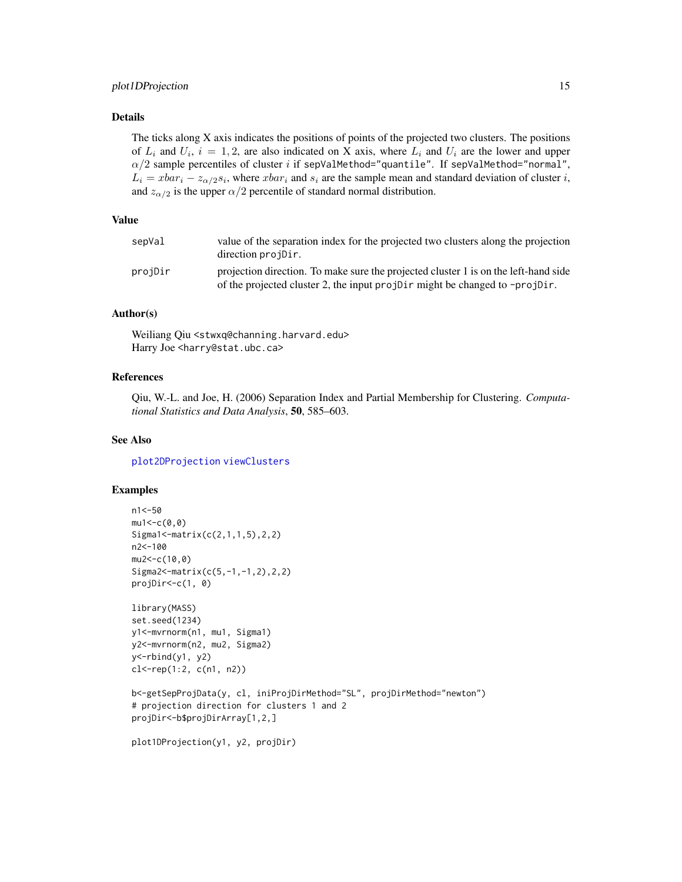# <span id="page-14-0"></span>plot1DProjection 15

# Details

The ticks along X axis indicates the positions of points of the projected two clusters. The positions of  $L_i$  and  $U_i$ ,  $i = 1, 2$ , are also indicated on X axis, where  $L_i$  and  $U_i$  are the lower and upper  $\alpha/2$  sample percentiles of cluster i if sepValMethod="quantile". If sepValMethod="normal",  $L_i = xbar_i - z_{\alpha/2} s_i$ , where  $xbar_i$  and  $s_i$  are the sample mean and standard deviation of cluster i, and  $z_{\alpha/2}$  is the upper  $\alpha/2$  percentile of standard normal distribution.

#### Value

| sepVal  | value of the separation index for the projected two clusters along the projection<br>direction projetion.                                                          |
|---------|--------------------------------------------------------------------------------------------------------------------------------------------------------------------|
| projDir | projection direction. To make sure the projected cluster 1 is on the left-hand side<br>of the projected cluster 2, the input projDir might be changed to -projDir. |

# Author(s)

Weiliang Qiu <stwxq@channing.harvard.edu> Harry Joe <harry@stat.ubc.ca>

# References

Qiu, W.-L. and Joe, H. (2006) Separation Index and Partial Membership for Clustering. *Computational Statistics and Data Analysis*, 50, 585–603.

# See Also

[plot2DProjection](#page-15-1) [viewClusters](#page-26-1)

#### Examples

```
n1<-50
mu1<-c(0,0)Sigma1<-matrix(c(2,1,1,5),2,2)
n2<-100
mu2<-c(10,0)Sigma2<-matrix(c(5,-1,-1,2),2,2)
projDir<-c(1, 0)
library(MASS)
set.seed(1234)
y1<-mvrnorm(n1, mu1, Sigma1)
y2<-mvrnorm(n2, mu2, Sigma2)
y <-rbind(y1, y2)
cl<-rep(1:2, c(n1, n2))
b<-getSepProjData(y, cl, iniProjDirMethod="SL", projDirMethod="newton")
# projection direction for clusters 1 and 2
projDir<-b$projDirArray[1,2,]
plot1DProjection(y1, y2, projDir)
```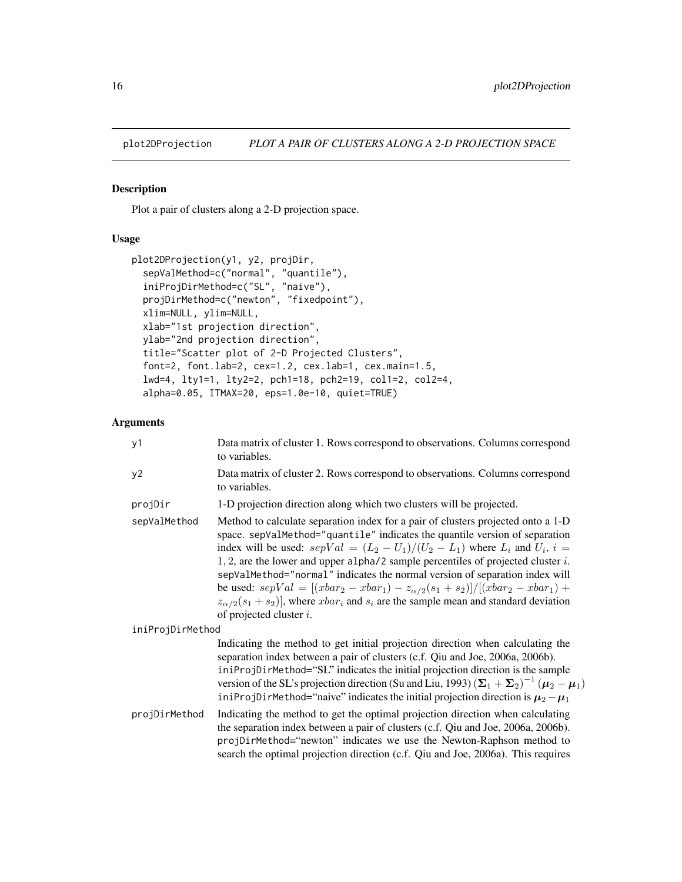<span id="page-15-1"></span><span id="page-15-0"></span>

# Description

Plot a pair of clusters along a 2-D projection space.

# Usage

```
plot2DProjection(y1, y2, projDir,
  sepValMethod=c("normal", "quantile"),
  iniProjDirMethod=c("SL", "naive"),
 projDirMethod=c("newton", "fixedpoint"),
  xlim=NULL, ylim=NULL,
 xlab="1st projection direction",
 ylab="2nd projection direction",
  title="Scatter plot of 2-D Projected Clusters",
  font=2, font.lab=2, cex=1.2, cex.lab=1, cex.main=1.5,
  lwd=4, lty1=1, lty2=2, pch1=18, pch2=19, col1=2, col2=4,
  alpha=0.05, ITMAX=20, eps=1.0e-10, quiet=TRUE)
```

| y1               | Data matrix of cluster 1. Rows correspond to observations. Columns correspond<br>to variables.                                                                                                                                                                                                                                                                                                                                                                                                                                                                                                                                                           |
|------------------|----------------------------------------------------------------------------------------------------------------------------------------------------------------------------------------------------------------------------------------------------------------------------------------------------------------------------------------------------------------------------------------------------------------------------------------------------------------------------------------------------------------------------------------------------------------------------------------------------------------------------------------------------------|
| y2               | Data matrix of cluster 2. Rows correspond to observations. Columns correspond<br>to variables.                                                                                                                                                                                                                                                                                                                                                                                                                                                                                                                                                           |
| projDir          | 1-D projection direction along which two clusters will be projected.                                                                                                                                                                                                                                                                                                                                                                                                                                                                                                                                                                                     |
| sepValMethod     | Method to calculate separation index for a pair of clusters projected onto a 1-D<br>space. sepValMethod="quantile" indicates the quantile version of separation<br>index will be used: $sepVal = (L_2 - U_1)/(U_2 - L_1)$ where $L_i$ and $U_i$ , $i =$<br>1, 2, are the lower and upper alpha/2 sample percentiles of projected cluster $i$ .<br>sepValMethod="normal" indicates the normal version of separation index will<br>be used: $sepVal = [(rbar_2 - xbar_1) - z_{\alpha/2}(s_1 + s_2)] / [(rbar_2 - xbar_1) +$<br>$z_{\alpha/2}(s_1+s_2)$ , where $xbar_i$ and $s_i$ are the sample mean and standard deviation<br>of projected cluster $i$ . |
| iniProjDirMethod |                                                                                                                                                                                                                                                                                                                                                                                                                                                                                                                                                                                                                                                          |
|                  | Indicating the method to get initial projection direction when calculating the<br>separation index between a pair of clusters (c.f. Qiu and Joe, 2006a, 2006b).<br>iniProjDirMethod="SL" indicates the initial projection direction is the sample<br>version of the SL's projection direction (Su and Liu, 1993) $(\Sigma_1 + \Sigma_2)^{-1}$ ( $\mu_2 - \mu_1$ )<br>iniProjDirMethod="naive" indicates the initial projection direction is $\mu_2 - \mu_1$                                                                                                                                                                                              |
| projDirMethod    | Indicating the method to get the optimal projection direction when calculating<br>the separation index between a pair of clusters (c.f. Qiu and Joe, 2006a, 2006b).<br>projDirMethod="newton" indicates we use the Newton-Raphson method to<br>search the optimal projection direction (c.f. Qiu and Joe, 2006a). This requires                                                                                                                                                                                                                                                                                                                          |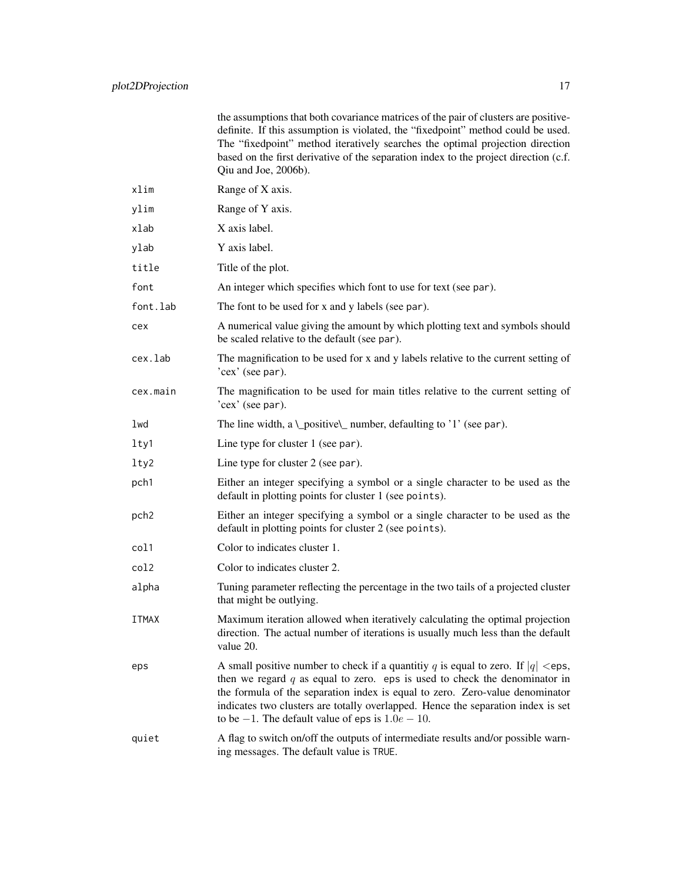|                  | the assumptions that both covariance matrices of the pair of clusters are positive-<br>definite. If this assumption is violated, the "fixedpoint" method could be used.<br>The "fixedpoint" method iteratively searches the optimal projection direction<br>based on the first derivative of the separation index to the project direction (c.f.<br>Qiu and Joe, 2006b).                          |
|------------------|---------------------------------------------------------------------------------------------------------------------------------------------------------------------------------------------------------------------------------------------------------------------------------------------------------------------------------------------------------------------------------------------------|
| xlim             | Range of X axis.                                                                                                                                                                                                                                                                                                                                                                                  |
| ylim             | Range of Y axis.                                                                                                                                                                                                                                                                                                                                                                                  |
| xlab             | X axis label.                                                                                                                                                                                                                                                                                                                                                                                     |
| ylab             | Y axis label.                                                                                                                                                                                                                                                                                                                                                                                     |
| title            | Title of the plot.                                                                                                                                                                                                                                                                                                                                                                                |
| font             | An integer which specifies which font to use for text (see par).                                                                                                                                                                                                                                                                                                                                  |
| font.lab         | The font to be used for x and y labels (see par).                                                                                                                                                                                                                                                                                                                                                 |
| cex              | A numerical value giving the amount by which plotting text and symbols should<br>be scaled relative to the default (see par).                                                                                                                                                                                                                                                                     |
| cex.lab          | The magnification to be used for x and y labels relative to the current setting of<br>'cex' (see par).                                                                                                                                                                                                                                                                                            |
| cex.main         | The magnification to be used for main titles relative to the current setting of<br>'cex' (see par).                                                                                                                                                                                                                                                                                               |
| lwd              | The line width, a \_positive\_ number, defaulting to '1' (see par).                                                                                                                                                                                                                                                                                                                               |
| lty1             | Line type for cluster 1 (see par).                                                                                                                                                                                                                                                                                                                                                                |
| lty2             | Line type for cluster 2 (see par).                                                                                                                                                                                                                                                                                                                                                                |
| pch1             | Either an integer specifying a symbol or a single character to be used as the<br>default in plotting points for cluster 1 (see points).                                                                                                                                                                                                                                                           |
| pch <sub>2</sub> | Either an integer specifying a symbol or a single character to be used as the<br>default in plotting points for cluster 2 (see points).                                                                                                                                                                                                                                                           |
| col1             | Color to indicates cluster 1.                                                                                                                                                                                                                                                                                                                                                                     |
| col2             | Color to indicates cluster 2.                                                                                                                                                                                                                                                                                                                                                                     |
| alpha            | Tuning parameter reflecting the percentage in the two tails of a projected cluster<br>that might be outlying.                                                                                                                                                                                                                                                                                     |
| <b>ITMAX</b>     | Maximum iteration allowed when iteratively calculating the optimal projection<br>direction. The actual number of iterations is usually much less than the default<br>value 20.                                                                                                                                                                                                                    |
| eps              | A small positive number to check if a quantitiy q is equal to zero. If $ q  <$ eps,<br>then we regard $q$ as equal to zero. eps is used to check the denominator in<br>the formula of the separation index is equal to zero. Zero-value denominator<br>indicates two clusters are totally overlapped. Hence the separation index is set<br>to be $-1$ . The default value of eps is $1.0e - 10$ . |
| quiet            | A flag to switch on/off the outputs of intermediate results and/or possible warn-<br>ing messages. The default value is TRUE.                                                                                                                                                                                                                                                                     |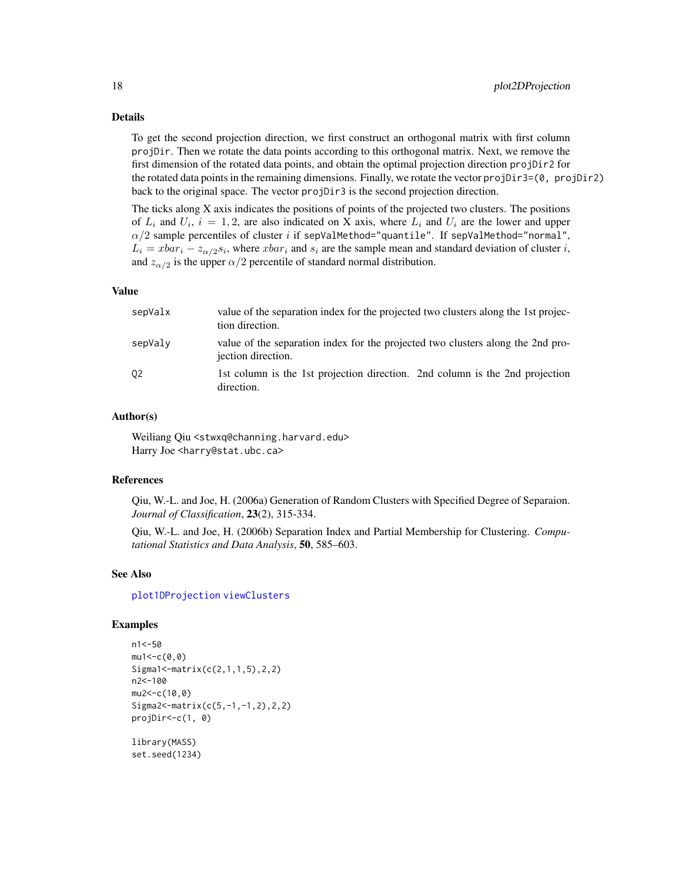### Details

To get the second projection direction, we first construct an orthogonal matrix with first column projDir. Then we rotate the data points according to this orthogonal matrix. Next, we remove the first dimension of the rotated data points, and obtain the optimal projection direction projDir2 for the rotated data points in the remaining dimensions. Finally, we rotate the vector projDir3=(0, projDir2) back to the original space. The vector projDir3 is the second projection direction.

The ticks along X axis indicates the positions of points of the projected two clusters. The positions of  $L_i$  and  $U_i$ ,  $i = 1, 2$ , are also indicated on X axis, where  $L_i$  and  $U_i$  are the lower and upper  $\alpha/2$  sample percentiles of cluster i if sepValMethod="quantile". If sepValMethod="normal",  $L_i = xbar_i - z_{\alpha/2} s_i$ , where  $xbar_i$  and  $s_i$  are the sample mean and standard deviation of cluster i, and  $z_{\alpha/2}$  is the upper  $\alpha/2$  percentile of standard normal distribution.

#### Value

| sepValx | value of the separation index for the projected two clusters along the 1st projec-<br>tion direction. |
|---------|-------------------------------------------------------------------------------------------------------|
| sepValy | value of the separation index for the projected two clusters along the 2nd pro-<br>jection direction. |
| 02      | 1st column is the 1st projection direction. 2nd column is the 2nd projection<br>direction.            |

### Author(s)

Weiliang Qiu <stwxq@channing.harvard.edu> Harry Joe <harry@stat.ubc.ca>

#### References

Qiu, W.-L. and Joe, H. (2006a) Generation of Random Clusters with Specified Degree of Separaion. *Journal of Classification*, 23(2), 315-334.

Qiu, W.-L. and Joe, H. (2006b) Separation Index and Partial Membership for Clustering. *Computational Statistics and Data Analysis*, 50, 585–603.

# See Also

[plot1DProjection](#page-12-1) [viewClusters](#page-26-1)

# Examples

```
n1<-50
mu1 < -c(0, 0)Sigma1<-matrix(c(2,1,1,5),2,2)
n2<-100
mu2<-c(10,0)
Sigma2<-matrix(c(5,-1,-1,2),2,2)
projDir<-c(1, 0)
library(MASS)
```
set.seed(1234)

<span id="page-17-0"></span>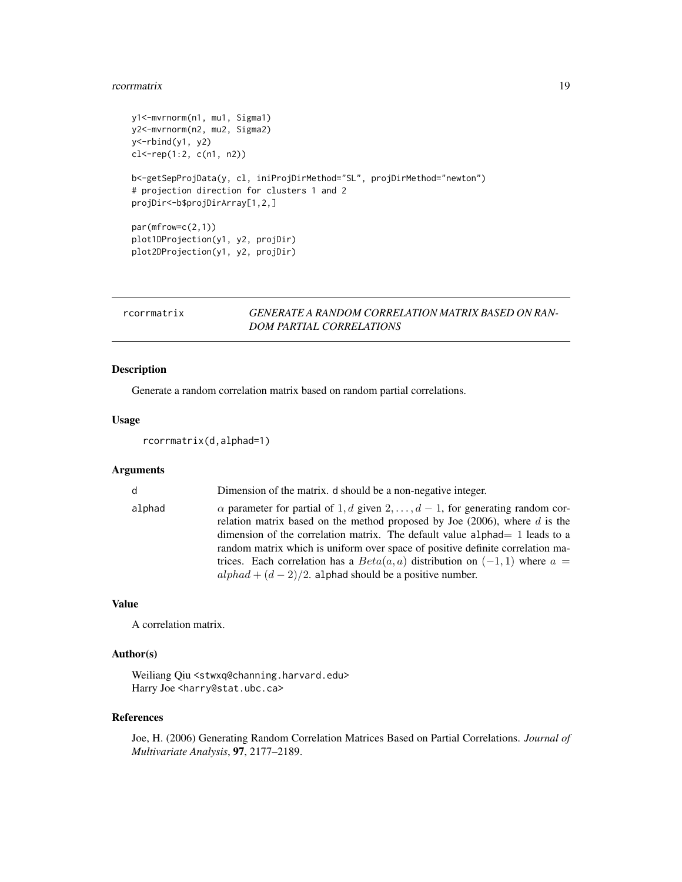#### <span id="page-18-0"></span>rcorrmatrix 19

```
y1<-mvrnorm(n1, mu1, Sigma1)
y2<-mvrnorm(n2, mu2, Sigma2)
y<-rbind(y1, y2)
cl < -rep(1:2, c(n1, n2))b<-getSepProjData(y, cl, iniProjDirMethod="SL", projDirMethod="newton")
# projection direction for clusters 1 and 2
projDir<-b$projDirArray[1,2,]
par(mfrow=c(2,1))
plot1DProjection(y1, y2, projDir)
plot2DProjection(y1, y2, projDir)
```
# rcorrmatrix *GENERATE A RANDOM CORRELATION MATRIX BASED ON RAN-DOM PARTIAL CORRELATIONS*

# Description

Generate a random correlation matrix based on random partial correlations.

# Usage

```
rcorrmatrix(d,alphad=1)
```
# Arguments

| d      | Dimension of the matrix, d should be a non-negative integer.                                                                                                                                                                                                                                                                                                                                                                                                                                |
|--------|---------------------------------------------------------------------------------------------------------------------------------------------------------------------------------------------------------------------------------------------------------------------------------------------------------------------------------------------------------------------------------------------------------------------------------------------------------------------------------------------|
| alphad | $\alpha$ parameter for partial of 1, d given 2, , $d-1$ , for generating random cor-<br>relation matrix based on the method proposed by Joe $(2006)$ , where d is the<br>dimension of the correlation matrix. The default value alphad $= 1$ leads to a<br>random matrix which is uniform over space of positive definite correlation ma-<br>trices. Each correlation has a $Beta(a, a)$ distribution on $(-1, 1)$ where $a =$<br>$alpha + (d - 2)/2$ . alphad should be a positive number. |

# Value

A correlation matrix.

# Author(s)

Weiliang Qiu <stwxq@channing.harvard.edu> Harry Joe <harry@stat.ubc.ca>

# References

Joe, H. (2006) Generating Random Correlation Matrices Based on Partial Correlations. *Journal of Multivariate Analysis*, 97, 2177–2189.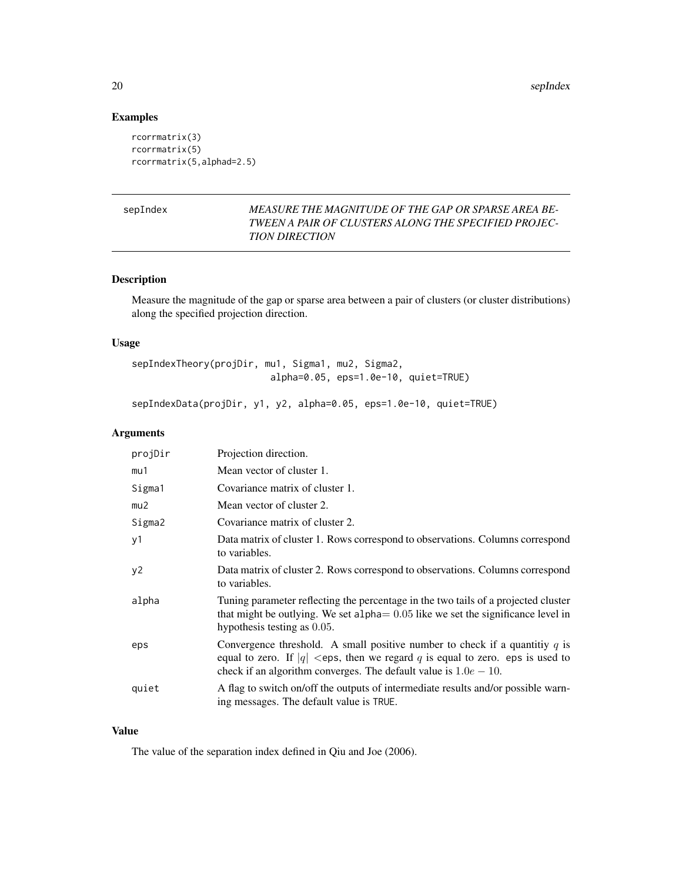# Examples

```
rcorrmatrix(3)
rcorrmatrix(5)
rcorrmatrix(5,alphad=2.5)
```
# sepIndex *MEASURE THE MAGNITUDE OF THE GAP OR SPARSE AREA BE-TWEEN A PAIR OF CLUSTERS ALONG THE SPECIFIED PROJEC-TION DIRECTION*

# Description

Measure the magnitude of the gap or sparse area between a pair of clusters (or cluster distributions) along the specified projection direction.

# Usage

```
sepIndexTheory(projDir, mu1, Sigma1, mu2, Sigma2,
                         alpha=0.05, eps=1.0e-10, quiet=TRUE)
```
sepIndexData(projDir, y1, y2, alpha=0.05, eps=1.0e-10, quiet=TRUE)

# Arguments

| projDir | Projection direction.                                                                                                                                                                                                                    |
|---------|------------------------------------------------------------------------------------------------------------------------------------------------------------------------------------------------------------------------------------------|
| mu1     | Mean vector of cluster 1.                                                                                                                                                                                                                |
| Sigma1  | Covariance matrix of cluster 1.                                                                                                                                                                                                          |
| mu2     | Mean vector of cluster 2.                                                                                                                                                                                                                |
| Sigma2  | Covariance matrix of cluster 2.                                                                                                                                                                                                          |
| y1      | Data matrix of cluster 1. Rows correspond to observations. Columns correspond<br>to variables.                                                                                                                                           |
| y2      | Data matrix of cluster 2. Rows correspond to observations. Columns correspond<br>to variables.                                                                                                                                           |
| alpha   | Tuning parameter reflecting the percentage in the two tails of a projected cluster<br>that might be outlying. We set alpha $= 0.05$ like we set the significance level in<br>hypothesis testing as 0.05.                                 |
| eps     | Convergence threshold. A small positive number to check if a quantitiy $q$ is<br>equal to zero. If $ q  <$ eps, then we regard q is equal to zero. eps is used to<br>check if an algorithm converges. The default value is $1.0e - 10$ . |
| quiet   | A flag to switch on/off the outputs of intermediate results and/or possible warn-<br>ing messages. The default value is TRUE.                                                                                                            |

# Value

The value of the separation index defined in Qiu and Joe (2006).

<span id="page-19-0"></span>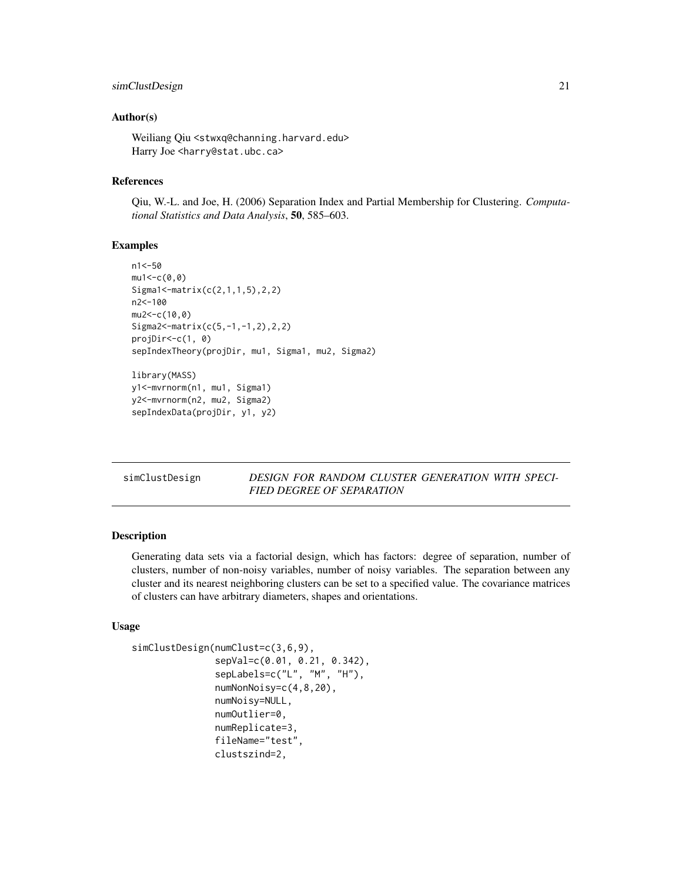# <span id="page-20-0"></span>simClustDesign 21

# Author(s)

Weiliang Qiu <stwxq@channing.harvard.edu> Harry Joe <harry@stat.ubc.ca>

# References

Qiu, W.-L. and Joe, H. (2006) Separation Index and Partial Membership for Clustering. *Computational Statistics and Data Analysis*, 50, 585–603.

# Examples

```
n1<-50
mu1 < -c(0, 0)Sigma1<-matrix(c(2,1,1,5),2,2)
n2<-100
mu2 < -c(10, 0)Sigma2<-matrix(c(5,-1,-1,2),2,2)
projDir<-c(1, 0)
sepIndexTheory(projDir, mu1, Sigma1, mu2, Sigma2)
library(MASS)
y1<-mvrnorm(n1, mu1, Sigma1)
y2<-mvrnorm(n2, mu2, Sigma2)
sepIndexData(projDir, y1, y2)
```
simClustDesign *DESIGN FOR RANDOM CLUSTER GENERATION WITH SPECI-FIED DEGREE OF SEPARATION*

# Description

Generating data sets via a factorial design, which has factors: degree of separation, number of clusters, number of non-noisy variables, number of noisy variables. The separation between any cluster and its nearest neighboring clusters can be set to a specified value. The covariance matrices of clusters can have arbitrary diameters, shapes and orientations.

# Usage

```
simClustDesign(numClust=c(3,6,9),
               sepVal=c(0.01, 0.21, 0.342),
               sepLabels=c("L", "M", "H"),
               numNonNoisy=c(4,8,20),
               numNoisy=NULL,
               numOutlier=0,
               numReplicate=3,
               fileName="test",
               clustszind=2,
```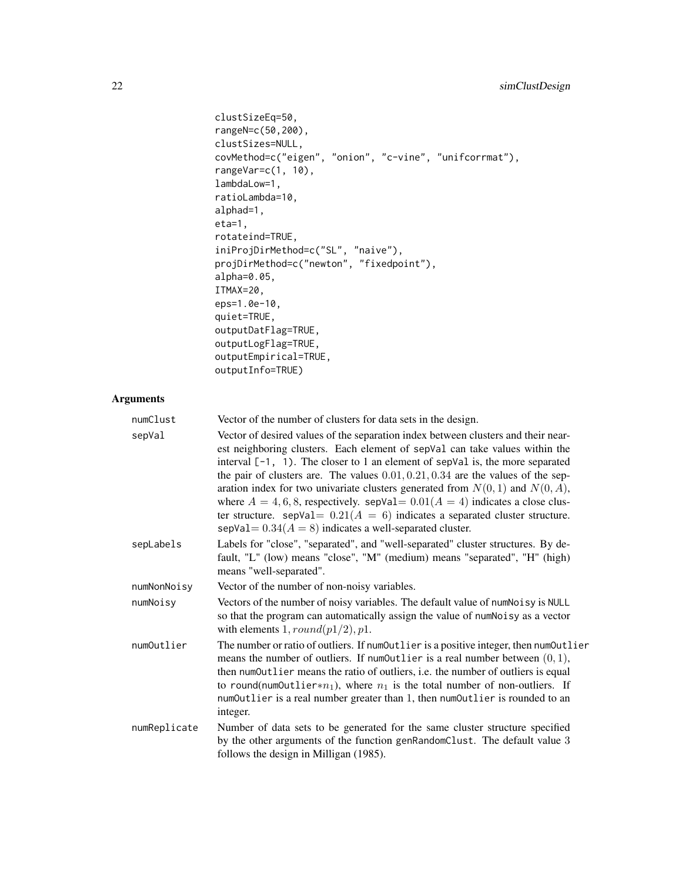```
clustSizeEq=50,
rangeN=c(50,200),
clustSizes=NULL,
covMethod=c("eigen", "onion", "c-vine", "unifcorrmat"),
rangeVar=c(1, 10),
lambdaLow=1,
ratioLambda=10,
alphad=1,
eta=1,
rotateind=TRUE,
iniProjDirMethod=c("SL", "naive"),
projDirMethod=c("newton", "fixedpoint"),
alpha=0.05,
ITMAX=20,
eps=1.0e-10,
quiet=TRUE,
outputDatFlag=TRUE,
outputLogFlag=TRUE,
outputEmpirical=TRUE,
outputInfo=TRUE)
```

| numClust     | Vector of the number of clusters for data sets in the design.                                                                                                                                                                                                                                                                                                                                                                                                                                                                                                                                                                                                          |
|--------------|------------------------------------------------------------------------------------------------------------------------------------------------------------------------------------------------------------------------------------------------------------------------------------------------------------------------------------------------------------------------------------------------------------------------------------------------------------------------------------------------------------------------------------------------------------------------------------------------------------------------------------------------------------------------|
| sepVal       | Vector of desired values of the separation index between clusters and their near-<br>est neighboring clusters. Each element of sepVal can take values within the<br>interval $[-1, 1)$ . The closer to 1 an element of sepVal is, the more separated<br>the pair of clusters are. The values $0.01, 0.21, 0.34$ are the values of the sep-<br>aration index for two univariate clusters generated from $N(0, 1)$ and $N(0, A)$ ,<br>where $A = 4, 6, 8$ , respectively. sepVal= $0.01(A = 4)$ indicates a close clus-<br>ter structure. sep $Val = 0.21(A = 6)$ indicates a separated cluster structure.<br>sepVal = $0.34(A = 8)$ indicates a well-separated cluster. |
| sepLabels    | Labels for "close", "separated", and "well-separated" cluster structures. By de-<br>fault, "L" (low) means "close", "M" (medium) means "separated", "H" (high)<br>means "well-separated".                                                                                                                                                                                                                                                                                                                                                                                                                                                                              |
| numNonNoisy  | Vector of the number of non-noisy variables.                                                                                                                                                                                                                                                                                                                                                                                                                                                                                                                                                                                                                           |
| numNoisy     | Vectors of the number of noisy variables. The default value of num Noisy is NULL<br>so that the program can automatically assign the value of numNoisy as a vector<br>with elements $1, round(p1/2), p1$ .                                                                                                                                                                                                                                                                                                                                                                                                                                                             |
| numOutlier   | The number or ratio of outliers. If numOutlier is a positive integer, then numOutlier<br>means the number of outliers. If numOutlier is a real number between $(0, 1)$ ,<br>then numOutlier means the ratio of outliers, i.e. the number of outliers is equal<br>to round(num0utlier* $n_1$ ), where $n_1$ is the total number of non-outliers. If<br>numOutlier is a real number greater than 1, then numOutlier is rounded to an<br>integer.                                                                                                                                                                                                                         |
| numReplicate | Number of data sets to be generated for the same cluster structure specified<br>by the other arguments of the function genRandomClust. The default value 3<br>follows the design in Milligan (1985).                                                                                                                                                                                                                                                                                                                                                                                                                                                                   |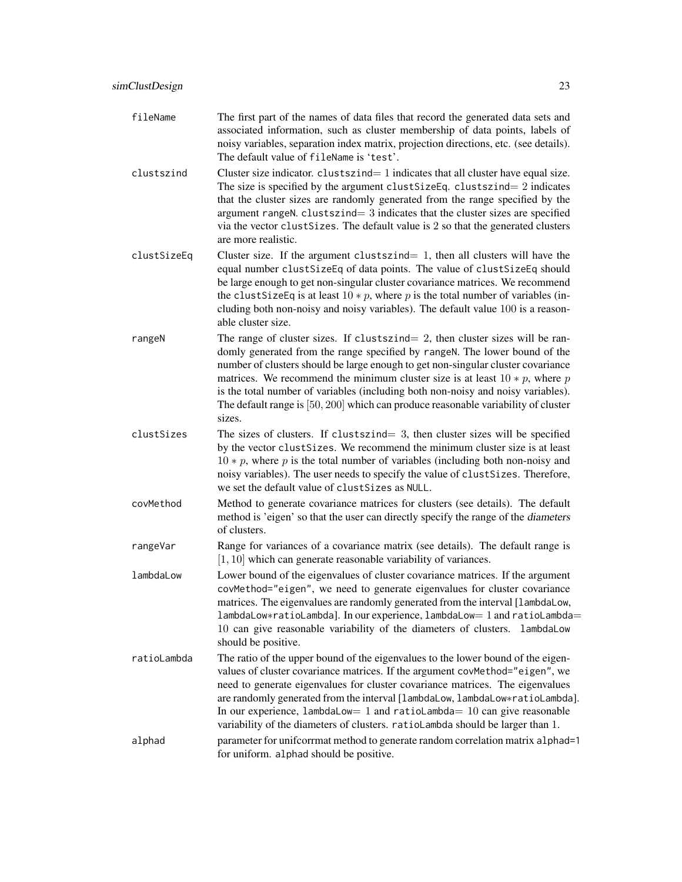- fileName The first part of the names of data files that record the generated data sets and associated information, such as cluster membership of data points, labels of noisy variables, separation index matrix, projection directions, etc. (see details). The default value of fileName is 'test'.
- clustszind Cluster size indicator. clustszind  $= 1$  indicates that all cluster have equal size. The size is specified by the argument clustSizeEq. clustszind=  $2$  indicates that the cluster sizes are randomly generated from the range specified by the argument rangeN.  $cluster = 3$  indicates that the cluster sizes are specified via the vector clustSizes. The default value is 2 so that the generated clusters are more realistic.
- clustSizeEq Cluster size. If the argument clustszind= 1, then all clusters will have the equal number clustSizeEq of data points. The value of clustSizeEq should be large enough to get non-singular cluster covariance matrices. We recommend the clustSizeEq is at least  $10 * p$ , where p is the total number of variables (including both non-noisy and noisy variables). The default value 100 is a reasonable cluster size.
- rangeN The range of cluster sizes. If clustszind= 2, then cluster sizes will be randomly generated from the range specified by rangeN. The lower bound of the number of clusters should be large enough to get non-singular cluster covariance matrices. We recommend the minimum cluster size is at least  $10 * p$ , where p is the total number of variables (including both non-noisy and noisy variables). The default range is [50, 200] which can produce reasonable variability of cluster sizes.
- clustSizes The sizes of clusters. If clustszind= 3, then cluster sizes will be specified by the vector clustSizes. We recommend the minimum cluster size is at least  $10 * p$ , where p is the total number of variables (including both non-noisy and noisy variables). The user needs to specify the value of clustSizes. Therefore, we set the default value of clustSizes as NULL.
- covMethod Method to generate covariance matrices for clusters (see details). The default method is 'eigen' so that the user can directly specify the range of the diameters of clusters.
- rangeVar Range for variances of a covariance matrix (see details). The default range is [1, 10] which can generate reasonable variability of variances.
- lambdaLow Lower bound of the eigenvalues of cluster covariance matrices. If the argument covMethod="eigen", we need to generate eigenvalues for cluster covariance matrices. The eigenvalues are randomly generated from the interval [lambdaLow, lambdaLow∗ratioLambda]. In our experience, lambdaLow= 1 and ratioLambda= 10 can give reasonable variability of the diameters of clusters. lambdaLow should be positive.
- ratioLambda The ratio of the upper bound of the eigenvalues to the lower bound of the eigenvalues of cluster covariance matrices. If the argument covMethod="eigen", we need to generate eigenvalues for cluster covariance matrices. The eigenvalues are randomly generated from the interval [lambdaLow, lambdaLow∗ratioLambda]. In our experience, lambdaLow=  $1$  and ratioLambda=  $10$  can give reasonable variability of the diameters of clusters. ratioLambda should be larger than 1. alphad parameter for unificorrmat method to generate random correlation matrix alphad=1 for uniform. alphad should be positive.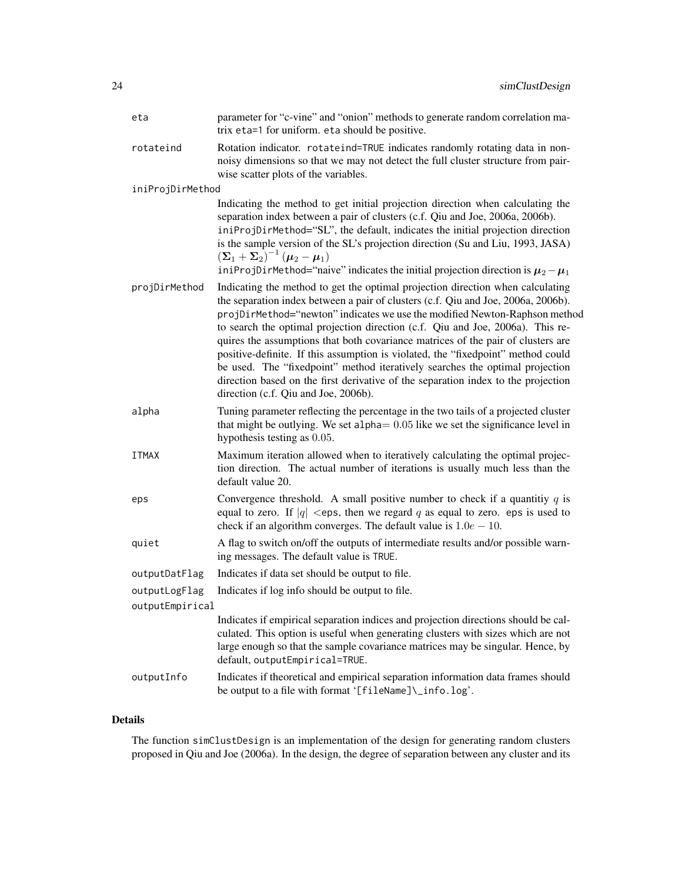| eta              | parameter for "c-vine" and "onion" methods to generate random correlation ma-<br>trix eta=1 for uniform. eta should be positive.                                                                                                                                                                                                                                                                                                                                                                                                                                                                                                                                                                                         |
|------------------|--------------------------------------------------------------------------------------------------------------------------------------------------------------------------------------------------------------------------------------------------------------------------------------------------------------------------------------------------------------------------------------------------------------------------------------------------------------------------------------------------------------------------------------------------------------------------------------------------------------------------------------------------------------------------------------------------------------------------|
| rotateind        | Rotation indicator. rotateind=TRUE indicates randomly rotating data in non-<br>noisy dimensions so that we may not detect the full cluster structure from pair-<br>wise scatter plots of the variables.                                                                                                                                                                                                                                                                                                                                                                                                                                                                                                                  |
| iniProjDirMethod |                                                                                                                                                                                                                                                                                                                                                                                                                                                                                                                                                                                                                                                                                                                          |
|                  | Indicating the method to get initial projection direction when calculating the<br>separation index between a pair of clusters (c.f. Qiu and Joe, 2006a, 2006b).<br>iniProjDirMethod="SL", the default, indicates the initial projection direction<br>is the sample version of the SL's projection direction (Su and Liu, 1993, JASA)<br>$\left(\boldsymbol{\Sigma}_1 + \boldsymbol{\Sigma}_2\right)^{-1} \left(\boldsymbol{\mu}_2 - \boldsymbol{\mu}_1\right)$<br>iniProjDirMethod="naive" indicates the initial projection direction is $\mu_2 - \mu_1$                                                                                                                                                                 |
| projDirMethod    | Indicating the method to get the optimal projection direction when calculating<br>the separation index between a pair of clusters (c.f. Qiu and Joe, 2006a, 2006b).<br>projDirMethod="newton" indicates we use the modified Newton-Raphson method<br>to search the optimal projection direction (c.f. Qiu and Joe, 2006a). This re-<br>quires the assumptions that both covariance matrices of the pair of clusters are<br>positive-definite. If this assumption is violated, the "fixedpoint" method could<br>be used. The "fixedpoint" method iteratively searches the optimal projection<br>direction based on the first derivative of the separation index to the projection<br>direction (c.f. Qiu and Joe, 2006b). |
| alpha            | Tuning parameter reflecting the percentage in the two tails of a projected cluster<br>that might be outlying. We set alpha $= 0.05$ like we set the significance level in<br>hypothesis testing as 0.05.                                                                                                                                                                                                                                                                                                                                                                                                                                                                                                                 |
| <b>ITMAX</b>     | Maximum iteration allowed when to iteratively calculating the optimal projec-<br>tion direction. The actual number of iterations is usually much less than the<br>default value 20.                                                                                                                                                                                                                                                                                                                                                                                                                                                                                                                                      |
| eps              | Convergence threshold. A small positive number to check if a quantitiy $q$ is<br>equal to zero. If $ q  <$ eps, then we regard q as equal to zero. eps is used to<br>check if an algorithm converges. The default value is $1.0e - 10$ .                                                                                                                                                                                                                                                                                                                                                                                                                                                                                 |
| quiet            | A flag to switch on/off the outputs of intermediate results and/or possible warn-<br>ing messages. The default value is TRUE.                                                                                                                                                                                                                                                                                                                                                                                                                                                                                                                                                                                            |
| outputDatFlag    | Indicates if data set should be output to file.                                                                                                                                                                                                                                                                                                                                                                                                                                                                                                                                                                                                                                                                          |
| outputLogFlag    | Indicates if log info should be output to file.                                                                                                                                                                                                                                                                                                                                                                                                                                                                                                                                                                                                                                                                          |
| outputEmpirical  |                                                                                                                                                                                                                                                                                                                                                                                                                                                                                                                                                                                                                                                                                                                          |
|                  | Indicates if empirical separation indices and projection directions should be cal-<br>culated. This option is useful when generating clusters with sizes which are not<br>large enough so that the sample covariance matrices may be singular. Hence, by<br>default, outputEmpirical=TRUE.                                                                                                                                                                                                                                                                                                                                                                                                                               |
| outputInfo       | Indicates if theoretical and empirical separation information data frames should<br>be output to a file with format '[fileName]\_info.log'.                                                                                                                                                                                                                                                                                                                                                                                                                                                                                                                                                                              |

# Details

The function simClustDesign is an implementation of the design for generating random clusters proposed in Qiu and Joe (2006a). In the design, the degree of separation between any cluster and its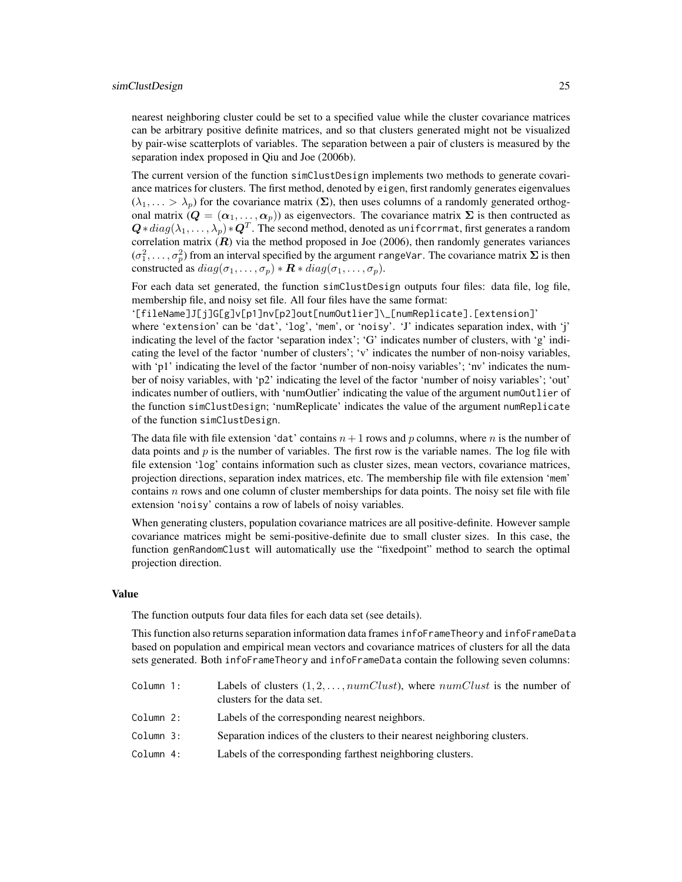nearest neighboring cluster could be set to a specified value while the cluster covariance matrices can be arbitrary positive definite matrices, and so that clusters generated might not be visualized by pair-wise scatterplots of variables. The separation between a pair of clusters is measured by the separation index proposed in Qiu and Joe (2006b).

The current version of the function simClustDesign implements two methods to generate covariance matrices for clusters. The first method, denoted by eigen, first randomly generates eigenvalues  $(\lambda_1, \ldots > \lambda_p)$  for the covariance matrix  $(\Sigma)$ , then uses columns of a randomly generated orthogonal matrix  $(Q = (\alpha_1, \ldots, \alpha_p))$  as eigenvectors. The covariance matrix  $\Sigma$  is then contructed as  $\bm{Q}*diag(\lambda_1,\dots,\lambda_p)*\bm{Q}^T.$  The second method, denoted as unifoorrmat, first generates a random correlation matrix  $(R)$  via the method proposed in Joe (2006), then randomly generates variances  $(\sigma_1^2, \ldots, \sigma_p^2)$  from an interval specified by the argument rangeVar. The covariance matrix  $\Sigma$  is then constructed as  $diag(\sigma_1, \ldots, \sigma_p) * \mathbf{R} * diag(\sigma_1, \ldots, \sigma_p)$ .

For each data set generated, the function simClustDesign outputs four files: data file, log file, membership file, and noisy set file. All four files have the same format:

'[fileName]J[j]G[g]v[p1]nv[p2]out[numOutlier]\\_[numReplicate].[extension]' where 'extension' can be 'dat', 'log', 'mem', or 'noisy'. 'J' indicates separation index, with 'j' indicating the level of the factor 'separation index'; 'G' indicates number of clusters, with 'g' indicating the level of the factor 'number of clusters'; 'v' indicates the number of non-noisy variables, with 'p1' indicating the level of the factor 'number of non-noisy variables'; 'nv' indicates the number of noisy variables, with 'p2' indicating the level of the factor 'number of noisy variables'; 'out' indicates number of outliers, with 'numOutlier' indicating the value of the argument numOutlier of the function simClustDesign; 'numReplicate' indicates the value of the argument numReplicate of the function simClustDesign.

The data file with file extension 'dat' contains  $n+1$  rows and p columns, where n is the number of data points and  $p$  is the number of variables. The first row is the variable names. The log file with file extension 'log' contains information such as cluster sizes, mean vectors, covariance matrices, projection directions, separation index matrices, etc. The membership file with file extension 'mem' contains  $n$  rows and one column of cluster memberships for data points. The noisy set file with file extension 'noisy' contains a row of labels of noisy variables.

When generating clusters, population covariance matrices are all positive-definite. However sample covariance matrices might be semi-positive-definite due to small cluster sizes. In this case, the function genRandomClust will automatically use the "fixedpoint" method to search the optimal projection direction.

#### Value

The function outputs four data files for each data set (see details).

This function also returns separation information data frames infoFrameTheory and infoFrameData based on population and empirical mean vectors and covariance matrices of clusters for all the data sets generated. Both infoFrameTheory and infoFrameData contain the following seven columns:

| Column 1: | Labels of clusters $(1, 2, \ldots, numClust)$ , where $numClust$ is the number of<br>clusters for the data set. |
|-----------|-----------------------------------------------------------------------------------------------------------------|
| Column 2: | Labels of the corresponding nearest neighbors.                                                                  |
| Column 3: | Separation indices of the clusters to their nearest neighboring clusters.                                       |
| Column 4: | Labels of the corresponding farthest neighboring clusters.                                                      |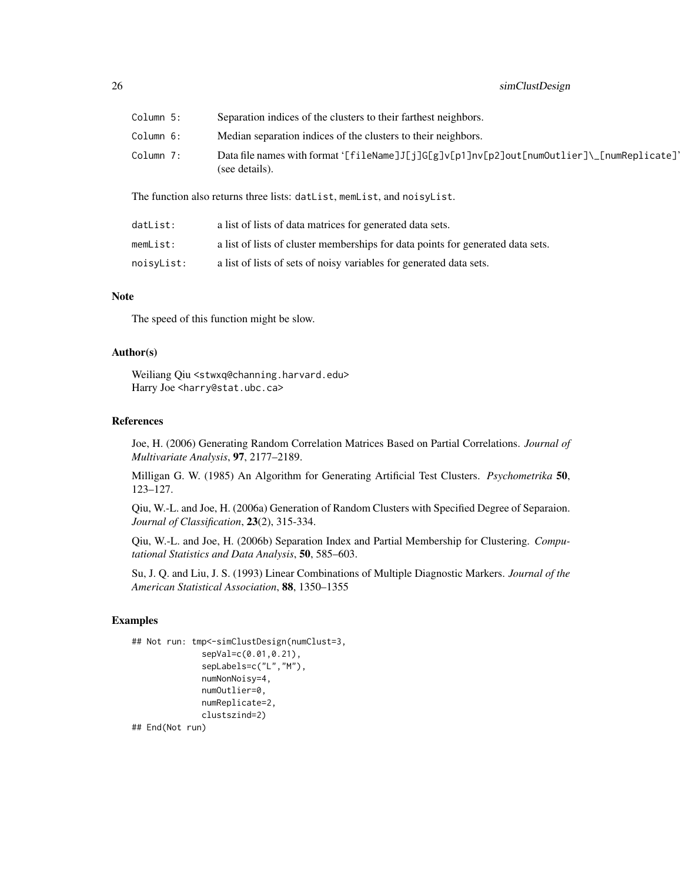| Column 5: | Separation indices of the clusters to their farthest neighbors.                                              |
|-----------|--------------------------------------------------------------------------------------------------------------|
| Column 6: | Median separation indices of the clusters to their neighbors.                                                |
| Column 7: | Data file names with format '[fileName]J[j]G[g]v[p1]nv[p2]out[numOutlier]\_[numReplicate]'<br>(see details). |

The function also returns three lists: datList, memList, and noisyList.

| datList:   | a list of lists of data matrices for generated data sets.                       |
|------------|---------------------------------------------------------------------------------|
| memList:   | a list of lists of cluster memberships for data points for generated data sets. |
| noisyList: | a list of lists of sets of noisy variables for generated data sets.             |

# **Note**

The speed of this function might be slow.

# Author(s)

Weiliang Qiu <stwxq@channing.harvard.edu> Harry Joe <harry@stat.ubc.ca>

# References

Joe, H. (2006) Generating Random Correlation Matrices Based on Partial Correlations. *Journal of Multivariate Analysis*, 97, 2177–2189.

Milligan G. W. (1985) An Algorithm for Generating Artificial Test Clusters. *Psychometrika* 50, 123–127.

Qiu, W.-L. and Joe, H. (2006a) Generation of Random Clusters with Specified Degree of Separaion. *Journal of Classification*, 23(2), 315-334.

Qiu, W.-L. and Joe, H. (2006b) Separation Index and Partial Membership for Clustering. *Computational Statistics and Data Analysis*, 50, 585–603.

Su, J. Q. and Liu, J. S. (1993) Linear Combinations of Multiple Diagnostic Markers. *Journal of the American Statistical Association*, 88, 1350–1355

# Examples

```
## Not run: tmp<-simClustDesign(numClust=3,
              sepVal=c(0.01,0.21),
              sepLabels=c("L","M"),
              numNonNoisy=4,
              numOutlier=0,
              numReplicate=2,
              clustszind=2)
```
## End(Not run)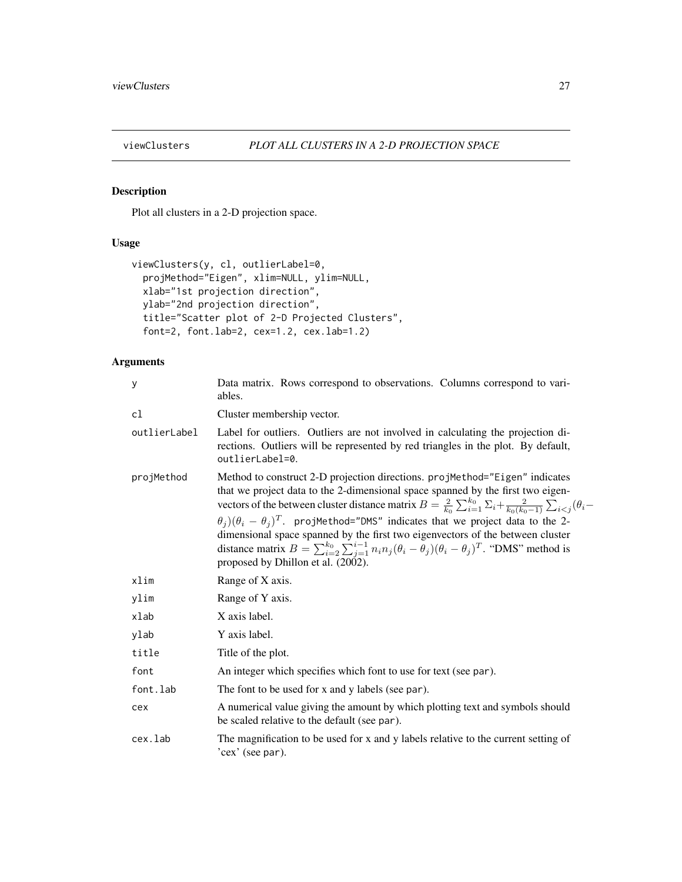<span id="page-26-1"></span><span id="page-26-0"></span>

# Description

Plot all clusters in a 2-D projection space.

# Usage

```
viewClusters(y, cl, outlierLabel=0,
 projMethod="Eigen", xlim=NULL, ylim=NULL,
 xlab="1st projection direction",
 ylab="2nd projection direction",
  title="Scatter plot of 2-D Projected Clusters",
  font=2, font.lab=2, cex=1.2, cex.lab=1.2)
```

| y            | Data matrix. Rows correspond to observations. Columns correspond to vari-<br>ables.                                                                                                                                                                                                                                                                                                                                                                                                                                                                                                                                                                                           |
|--------------|-------------------------------------------------------------------------------------------------------------------------------------------------------------------------------------------------------------------------------------------------------------------------------------------------------------------------------------------------------------------------------------------------------------------------------------------------------------------------------------------------------------------------------------------------------------------------------------------------------------------------------------------------------------------------------|
| cl           | Cluster membership vector.                                                                                                                                                                                                                                                                                                                                                                                                                                                                                                                                                                                                                                                    |
| outlierLabel | Label for outliers. Outliers are not involved in calculating the projection di-<br>rections. Outliers will be represented by red triangles in the plot. By default,<br>outlierLabel=0.                                                                                                                                                                                                                                                                                                                                                                                                                                                                                        |
| projMethod   | Method to construct 2-D projection directions. projMethod="Eigen" indicates<br>that we project data to the 2-dimensional space spanned by the first two eigen-<br>vectors of the between cluster distance matrix $B = \frac{2}{k_0} \sum_{i=1}^{k_0} \sum_i \frac{2}{k_0 (k_0 - 1)} \sum_{i < j} (\theta_i -$<br>$\theta_i$ ) $(\theta_i - \theta_j)^T$ . projMethod="DMS" indicates that we project data to the 2-<br>dimensional space spanned by the first two eigenvectors of the between cluster<br>distance matrix $B = \sum_{i=2}^{k_0} \sum_{j=1}^{i-1} n_i n_j (\theta_i - \theta_j)(\theta_i - \theta_j)^T$ . "DMS" method is<br>proposed by Dhillon et al. (2002). |
| xlim         | Range of X axis.                                                                                                                                                                                                                                                                                                                                                                                                                                                                                                                                                                                                                                                              |
| ylim         | Range of Y axis.                                                                                                                                                                                                                                                                                                                                                                                                                                                                                                                                                                                                                                                              |
| xlab         | X axis label.                                                                                                                                                                                                                                                                                                                                                                                                                                                                                                                                                                                                                                                                 |
| ylab         | Y axis label.                                                                                                                                                                                                                                                                                                                                                                                                                                                                                                                                                                                                                                                                 |
| title        | Title of the plot.                                                                                                                                                                                                                                                                                                                                                                                                                                                                                                                                                                                                                                                            |
| font         | An integer which specifies which font to use for text (see par).                                                                                                                                                                                                                                                                                                                                                                                                                                                                                                                                                                                                              |
| font.lab     | The font to be used for x and y labels (see par).                                                                                                                                                                                                                                                                                                                                                                                                                                                                                                                                                                                                                             |
| cex          | A numerical value giving the amount by which plotting text and symbols should<br>be scaled relative to the default (see par).                                                                                                                                                                                                                                                                                                                                                                                                                                                                                                                                                 |
| cex.lab      | The magnification to be used for x and y labels relative to the current setting of<br>'cex' (see par).                                                                                                                                                                                                                                                                                                                                                                                                                                                                                                                                                                        |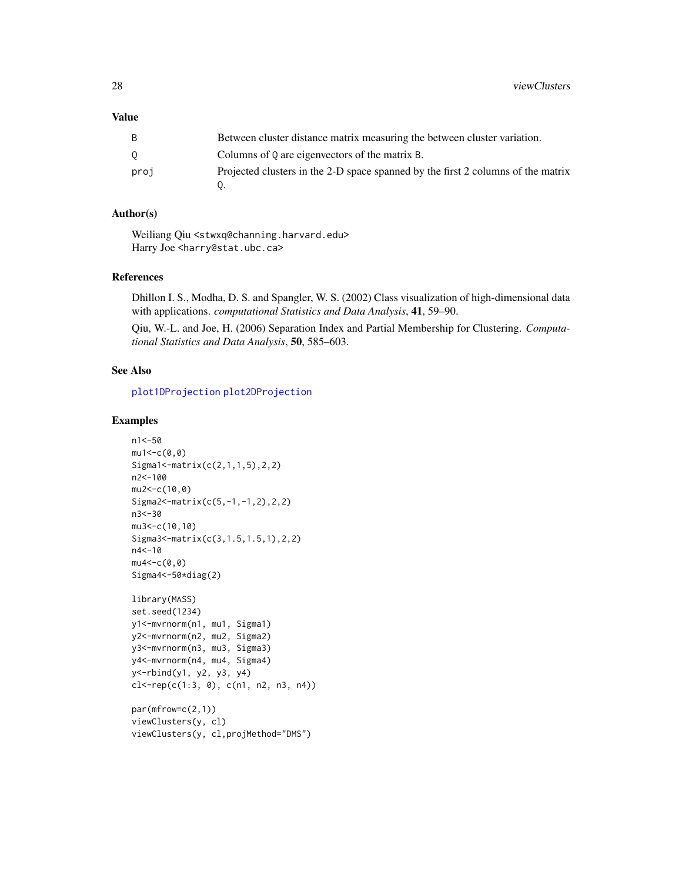# <span id="page-27-0"></span>Value

| B    | Between cluster distance matrix measuring the between cluster variation.         |
|------|----------------------------------------------------------------------------------|
|      | Columns of Q are eigenvectors of the matrix B.                                   |
| proj | Projected clusters in the 2-D space spanned by the first 2 columns of the matrix |

# Author(s)

Weiliang Qiu <stwxq@channing.harvard.edu> Harry Joe <harry@stat.ubc.ca>

# References

Dhillon I. S., Modha, D. S. and Spangler, W. S. (2002) Class visualization of high-dimensional data with applications. *computational Statistics and Data Analysis*, 41, 59–90.

Qiu, W.-L. and Joe, H. (2006) Separation Index and Partial Membership for Clustering. *Computational Statistics and Data Analysis*, 50, 585–603.

# See Also

[plot1DProjection](#page-12-1) [plot2DProjection](#page-15-1)

# Examples

```
n1<-50
mu1 < -c(0, 0)Sigma1<-matrix(c(2,1,1,5),2,2)
n2<-100
mu2<-c(10,0)
Sigma2<-matrix(c(5,-1,-1,2),2,2)
n3<-30
mu3<-c(10,10)
Sigma3<-matrix(c(3,1.5,1.5,1),2,2)
n4<-10
mu4 < -c(0, 0)Sigma4<-50*diag(2)
library(MASS)
set.seed(1234)
y1<-mvrnorm(n1, mu1, Sigma1)
y2<-mvrnorm(n2, mu2, Sigma2)
y3<-mvrnorm(n3, mu3, Sigma3)
y4<-mvrnorm(n4, mu4, Sigma4)
y<-rbind(y1, y2, y3, y4)
cl<-rep(c(1:3, 0), c(n1, n2, n3, n4))
par(mfrow=c(2,1))
viewClusters(y, cl)
```

```
viewClusters(y, cl,projMethod="DMS")
```